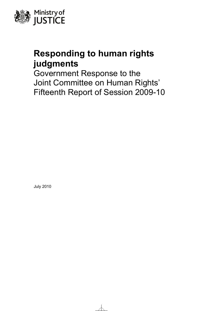

# **Responding to human rights judgments**

Government Response to the Joint Committee on Human Rights' Fifteenth Report of Session 2009-10

July 2010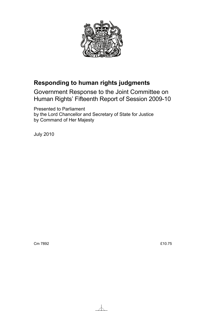

## **Responding to human rights judgments**

Government Response to the Joint Committee on Human Rights' Fifteenth Report of Session 2009-10

Presented to Parliament by the Lord Chancellor and Secretary of State for Justice by Command of Her Majesty

July 2010

Cm 7892 £10.75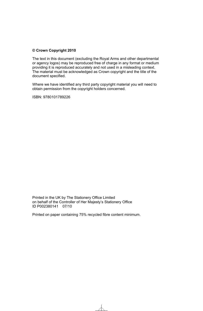#### **© Crown Copyright 2010**

The text in this document (excluding the Royal Arms and other departmental or agency logos) may be reproduced free of charge in any format or medium providing it is reproduced accurately and not used in a misleading context. The material must be acknowledged as Crown copyright and the title of the document specified.

Where we have identified any third party copyright material you will need to obtain permission from the copyright holders concerned.

ISBN: 9780101789226

Printed in the UK by The Stationery Office Limited on behalf of the Controller of Her Majesty's Stationery Office ID P002380141 07/10

Printed on paper containing 75% recycled fibre content minimum.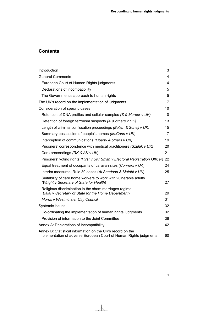## **Contents**

|                                                    | Introduction                                                                                                                     | 3              |  |  |
|----------------------------------------------------|----------------------------------------------------------------------------------------------------------------------------------|----------------|--|--|
|                                                    | <b>General Comments</b>                                                                                                          |                |  |  |
|                                                    | European Court of Human Rights judgments                                                                                         | $\overline{4}$ |  |  |
|                                                    | Declarations of incompatibility                                                                                                  | 5              |  |  |
|                                                    | The Government's approach to human rights                                                                                        | 5              |  |  |
| The UK's record on the implementation of judgments |                                                                                                                                  |                |  |  |
| Consideration of specific cases                    |                                                                                                                                  |                |  |  |
|                                                    | Retention of DNA profiles and cellular samples (S & Marper v UK)                                                                 | 10             |  |  |
|                                                    | Detention of foreign terrorism suspects (A & others v UK)                                                                        | 13             |  |  |
|                                                    | Length of criminal confiscation proceedings (Bullen & Soneji v UK)                                                               | 15             |  |  |
|                                                    | Summary possession of people's homes (McCann v UK)                                                                               | 17             |  |  |
|                                                    | Interception of communications (Liberty & others v UK)                                                                           | 19             |  |  |
|                                                    | Prisoners' correspondence with medical practitioners (Szuluk v UK)                                                               | 20             |  |  |
|                                                    | Care proceedings (RK & AK v UK)                                                                                                  | 21             |  |  |
|                                                    | Prisoners' voting rights (Hirst v UK; Smith v Electoral Registration Officer)                                                    | 22             |  |  |
|                                                    | Equal treatment of occupants of caravan sites (Connors v UK)                                                                     | 24             |  |  |
|                                                    | Interim measures: Rule 39 cases (Al Saadoon & Mufdhi v UK)                                                                       | 25             |  |  |
|                                                    | Suitability of care home workers to work with vulnerable adults<br>(Wright v Secretary of State for Health)                      | 27             |  |  |
|                                                    | Religious discrimination in the sham marriages regime<br>(Baiai v Secretary of State for the Home Department)                    | 29             |  |  |
|                                                    | Morris v Westminster City Council                                                                                                | 31             |  |  |
|                                                    | Systemic issues                                                                                                                  |                |  |  |
|                                                    | Co-ordinating the implementation of human rights judgments                                                                       | 32             |  |  |
|                                                    | Provision of information to the Joint Committee                                                                                  | 36             |  |  |
|                                                    | Annex A: Declarations of incompatibility                                                                                         |                |  |  |
|                                                    | Annex B: Statistical information on the UK's record on the<br>implementation of adverse European Court of Human Rights judgments |                |  |  |
|                                                    |                                                                                                                                  |                |  |  |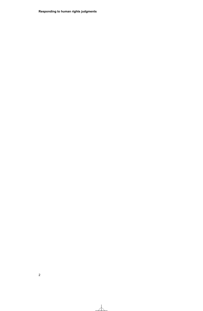**Responding to human rights judgments**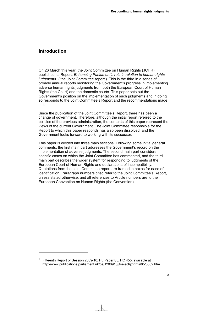## **Introduction**

 $\overline{a}$ 

On 26 March this year, the Joint Committee on Human Rights (JCHR) published its Report, *Enhancing Parliament's role in relation to human rights*  judgments<sup>[1](#page-5-0)</sup> ('the Joint Committee report'). This is the third in a series of broadly annual reports monitoring the Government's progress in implementing adverse human rights judgments from both the European Court of Human Rights (the Court) and the domestic courts. This paper sets out the Government's position on the implementation of such judgments and in doing so responds to the Joint Committee's Report and the recommendations made in it.

Since the publication of the Joint Committee's Report, there has been a change of government. Therefore, although the initial report referred to the policies of the previous administration, the contents of this paper represent the views of the current Government. The Joint Committee responsible for the Report to which this paper responds has also been dissolved, and the Government looks forward to working with its successor.

This paper is divided into three main sections. Following some initial general comments, the first main part addresses the Government's record on the implementation of adverse judgments. The second main part considers specific cases on which the Joint Committee has commented, and the third main part describes the wider system for responding to judgments of the European Court of Human Rights and declarations of incompatibility. Quotations from the Joint Committee report are framed in boxes for ease of identification. Paragraph numbers cited refer to the Joint Committee's Report, unless stated otherwise, and all references to Article numbers are to the European Convention on Human Rights (the Convention).

<span id="page-5-0"></span><sup>1</sup> Fifteenth Report of Session 2009-10; HL Paper 85, HC 455; available at http://www.publications.parliament.uk/pa/jt200910/jtselect/jtrights/85/8502.htm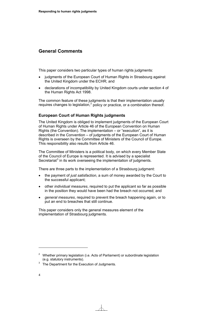## **General Comments**

This paper considers two particular types of human rights judgments:

- judgments of the European Court of Human Rights in Strasbourg against the United Kingdom under the ECHR; and
- declarations of incompatibility by United Kingdom courts under section 4 of the Human Rights Act 1998.

The common feature of these judgments is that their implementation usually requires changes to legislation,<sup>[2](#page-6-0)</sup> policy or practice, or a combination thereof.

## **European Court of Human Rights judgments**

The United Kingdom is obliged to implement judgments of the European Court of Human Rights under Article 46 of the European Convention on Human Rights (the Convention). The implementation – or "execution", as it is described in the Convention – of judgments of the European Court of Human Rights is overseen by the Committee of Ministers of the Council of Europe. This responsibility also results from Article 46.

The Committee of Ministers is a political body, on which every Member State of the Council of Europe is represented. It is advised by a specialist Secretariat $3$  in its work overseeing the implementation of judgments.

There are three parts to the implementation of a Strasbourg judgment:

- the payment of *just satisfaction*, a sum of money awarded by the Court to the successful applicant;
- other *individual measures*, required to put the applicant so far as possible in the position they would have been had the breach not occurred; and
- *general measures*, required to prevent the breach happening again, or to put an end to breaches that still continue.

This paper considers only the general measures element of the implementation of Strasbourg judgments.

<span id="page-6-0"></span><sup>&</sup>lt;sup>2</sup> Whether primary legislation (i.e. Acts of Parliament) or subordinate legislation (e.g. statutory instruments).

<span id="page-6-1"></span> $3$  The Department for the Execution of Judgments.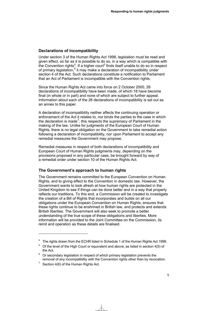## **Declarations of incompatibility**

Under section 3 of the Human Rights Act 1998, legislation must be read and given effect, so far as it is possible to do so, in a way which is compatible with the Convention rights<sup>[4](#page-7-0)</sup>. If a higher court<sup>[5](#page-7-1)</sup> finds itself unable to do so in respect of primary legislation,<sup>[6](#page-7-2)</sup> it may make a declaration of incompatibility under section 4 of the Act. Such declarations constitute a notification to Parliament that an Act of Parliament is incompatible with the Convention rights.

Since the Human Rights Act came into force on 2 October 2000, 26 declarations of incompatibility have been made, of which 18 have become final (in whole or in part) and none of which are subject to further appeal. Information about each of the 26 declarations of incompatibility is set out as an annex to this paper.

A declaration of incompatibility neither affects the continuing operation or enforcement of the Act it relates to, nor binds the parties to the case in which the declaration is made<sup>[7](#page-7-3)</sup>; this respects the supremacy of Parliament in the making of the law. Unlike for judgments of the European Court of Human Rights, there is no legal obligation on the Government to take remedial action following a declaration of incompatibility, nor upon Parliament to accept any remedial measures the Government may propose.

Remedial measures in respect of both declarations of incompatibility and European Court of Human Rights judgments may, depending on the provisions proposed in any particular case, be brought forward by way of a remedial order under section 10 of the Human Rights Act.

## **The Government's approach to human rights**

The Government remains committed to the European Convention on Human Rights, and to giving effect to the Convention in domestic law. However, the Government wants to look afresh at how human rights are protected in the United Kingdom to see if things can be done better and in a way that properly reflects our traditions. To this end, a Commission will be created to investigate the creation of a Bill of Rights that incorporates and builds on all our obligations under the European Convention on Human Rights, ensures that these rights continue to be enshrined in British law, and protects and extends British liberties. The Government will also seek to promote a better understanding of the true scope of these obligations and liberties. More information will be provided to the Joint Committee on the Commission, its remit and operation as these details are finalised.

<span id="page-7-0"></span> $4$  The rights drawn from the ECHR listed in Schedule 1 of the Human Rights Act 1998.

<span id="page-7-1"></span><sup>5</sup> Of the level of the High Court or equivalent and above, as listed in section 4(5) of the Act.

<span id="page-7-2"></span><sup>6</sup> Or secondary legislation in respect of which primary legislation prevents the removal of any incompatibility with the Convention rights other than by revocation.

<span id="page-7-3"></span><sup>7</sup> Section 4(6) of the Human Rights Act.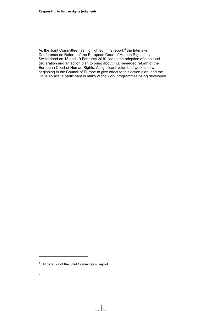As the Joint Committee has highlighted in its report, $<sup>8</sup>$  $<sup>8</sup>$  $<sup>8</sup>$  the Interlaken</sup> Conference on Reform of the European Court of Human Rights, held in Switzerland on 18 and 19 February 2010, led to the adoption of a political declaration and an action plan to bring about much-needed reform of the European Court of Human Rights. A significant volume of work is now beginning in the Council of Europe to give effect to this action plan, and the UK is an active participant in many of the work programmes being developed.

<span id="page-8-0"></span> $8<sup>8</sup>$  At para 5-7 of the Joint Committee's Report.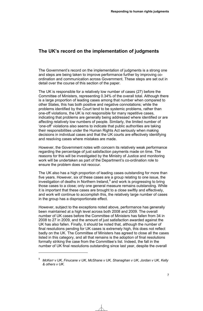## **The UK's record on the implementation of judgments**

The Government's record on the implementation of judgments is a strong one and steps are being taken to improve performance further by improving coordination and communication across Government. These steps are set out in detail over the course of this section of the paper.

The UK is responsible for a relatively low number of cases (27) before the Committee of Ministers, representing 0.34% of the overall total. Although there is a large proportion of leading cases among that number when compared to other States, this has both positive and negative connotations; while the problems identified by the Court tend to be systemic problems, rather than one-off violations, the UK is not responsible for many repetitive cases, indicating that problems are generally being addressed where identified or are affecting relatively low numbers of people. Similarly, the limited number of 'one-off' violations also seems to indicate that public authorities are taking their responsibilities under the Human Rights Act seriously when making decisions in individual cases and that the UK courts are effectively identifying and resolving cases where mistakes are made.

However, the Government notes with concern its relatively weak performance regarding the percentage of just satisfaction payments made on time. The reasons for this will be investigated by the Ministry of Justice and monitoring work will be undertaken as part of the Department's co-ordination role to ensure the problem does not reoccur.

The UK also has a high proportion of leading cases outstanding for more than five years. However, six of these cases are a group relating to one issue, the investigation of deaths in Northern Ireland,  $9$  and work is progressing to bring those cases to a close; only one general measure remains outstanding. While it is important that these cases are brought to a close swiftly and effectively, and work will continue to accomplish this, the relatively large number of cases in the group has a disproportionate effect.

However, subject to the exceptions noted above, performance has generally been maintained at a high level across both 2008 and 2009. The overall number of UK cases before the Committee of Ministers has fallen from 34 in 2008 to 27 in 2009, and the amount of just satisfaction awarded against the UK has also fallen. Finally, it should be noted that, although the number of final resolutions pending for UK cases is extremely high, this does not reflect badly on the UK. The Committee of Ministers has agreed to close all the cases listed in this category, and all that remains is the adoption of final resolutions formally striking the case from the Committee's list. Indeed, the fall in the number of UK final resolutions outstanding since last year, despite the overall

<span id="page-9-0"></span><sup>9</sup> *McKerr v UK, Finucane v UK, McShane v UK, Shanaghan v UK, Jordan v UK, Kelly & others v UK.*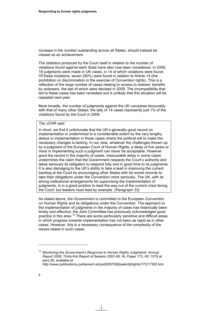increase in the number outstanding across all States, should instead be viewed as an achievement.

The statistics produced by the Court itself in relation to the number of violations found against each State have also now been considered. In 2009, 18 judgments were made in UK cases, in 14 of which violations were found. Of these violations, seven (50%) were found in relation to Article 14 (the prohibition on discrimination in the exercise of Convention rights). This is a reflection of the large number of cases relating to access to widows' benefits by widowers, the last of which were decided in 2009. The incompatibility that led to these cases has been remedied and it unlikely that this situation will be repeated next year.

More broadly, the number of judgments against the UK compares favourably with that of many other States; the tally of 14 cases represents just 1% of the violations found by the Court in 2009.

#### *The JCHR said:*

In short, we find it unfortunate that the UK's generally good record on implementation is undermined to a considerable extent by the very lengthy delays in implementation in those cases where the political will to make the necessary changes is lacking. In our view, whatever the challenges thrown up by a judgment of the European Court of Human Rights, a delay of five years or more in implementing such a judgment can never be acceptable. However good the record in the majority of cases, inexcusable delay in some cases undermines the claim that the Government respects the Court's authority and takes seriously its obligation to respond fully and in good time to its judgments. It is also damaging to the UK's ability to take a lead in improving the current backlog at the Court by encouraging other States with far worse records to take their obligations under the Convention more seriously. The UK, with its strong institutional arrangements for supervising the implementation of judgments, is in a good position to lead the way out of the current crisis facing the Court, but leaders must lead by example. *(Paragraph 33)*

As stated above, the Government is committed to the European Convention on Human Rights and its obligations under the Convention. The approach to the implementation of judgments in the majority of cases has historically been timely and effective; the Joint Committee has previously acknowledged good practice in this area.<sup>[10](#page-10-0)</sup> There are some particularly sensitive and difficult areas in which progress towards implementation has not been as rapid as in other cases. However, this is a necessary consequence of the complexity of the issues raised in such cases.

<span id="page-10-0"></span><sup>10</sup> *Monitoring the Government's Response to Human Rights Judgments: Annual Report 2008*, Thirty-first Report of Session 2007-08; HL Paper 173, HC 1078 at para 26; available at http://www.publications.parliament.uk/pa/jt200708/jtselect/jtrights/173/17302.htm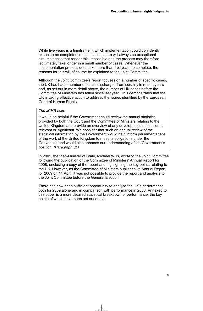While five years is a timeframe in which implementation could confidently expect to be completed in most cases, there will always be exceptional circumstances that render this impossible and the process may therefore legitimately take longer in a small number of cases. Whenever the implementation process does take more than five years to complete, the reasons for this will of course be explained to the Joint Committee.

Although the Joint Committee's report focuses on a number of specific cases, the UK has had a number of cases discharged from scrutiny in recent years and, as set out in more detail above, the number of UK cases before the Committee of Ministers has fallen since last year. This demonstrates that the UK is taking effective action to address the issues identified by the European Court of Human Rights.

#### *The JCHR said:*

It would be helpful if the Government could review the annual statistics provided by both the Court and the Committee of Ministers relating to the United Kingdom and provide an overview of any developments it considers relevant or significant. We consider that such an annual review of the statistical information by the Government would help inform parliamentarians of the work of the United Kingdom to meet its obligations under the Convention and would also enhance our understanding of the Government's position. *(Paragraph 31)*

In 2009, the then-Minister of State, Michael Wills, wrote to the Joint Committee following the publication of the Committee of Ministers' Annual Report for 2008, enclosing a copy of the report and highlighting the key points relating to the UK. However, as the Committee of Ministers published its Annual Report for 2009 on 14 April, it was not possible to provide the report and analysis to the Joint Committee before the General Election.

There has now been sufficient opportunity to analyse the UK's performance, both for 2009 alone and in comparison with performance in 2008. Annexed to this paper is a more detailed statistical breakdown of performance, the key points of which have been set out above.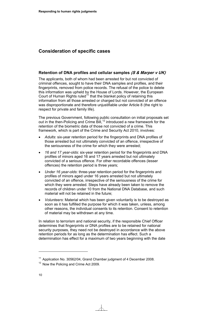## **Consideration of specific cases**

## **Retention of DNA profiles and cellular samples (S & Marper v UK)**

The applicants, both of whom had been arrested for but not convicted of criminal offences, sought to have their DNA samples and profiles, and their fingerprints, removed from police records. The refusal of the police to delete this information was upheld by the House of Lords. However, the European Court of Human Rights ruled<sup> $11$ </sup> that the blanket policy of retaining this information from all those arrested or charged but not convicted of an offence was disproportionate and therefore unjustifiable under Article 8 (the right to respect for private and family life).

The previous Government, following public consultation on initial proposals set out in the then-Policing and Crime Bill,  $12$  introduced a new framework for the retention of the biometric data of those not convicted of a crime. This framework, which is part of the Crime and Security Act 2010, involves:

- *Adults*: six-year retention period for the fingerprints and DNA profiles of those arrested but not ultimately convicted of an offence, irrespective of the seriousness of the crime for which they were arrested;
- *16 and 17 year-olds*: six-year retention period for the fingerprints and DNA profiles of minors aged 16 and 17 years arrested but not ultimately convicted of a serious offence. For other recordable offences (lesser offences) the retention period is three years;
- *Under 16 year-olds*: three-year retention period for the fingerprints and profiles of minors aged under 16 years arrested but not ultimately convicted of an offence, irrespective of the seriousness of the crime for which they were arrested. Steps have already been taken to remove the records of children under 10 from the National DNA Database, and such material will not be retained in the future;
- *Volunteers*: Material which has been given voluntarily is to be destroyed as soon as it has fulfilled the purpose for which it was taken, unless, among other reasons, the individual consents to its retention. Consent to retention of material may be withdrawn at any time.

In relation to terrorism and national security, if the responsible Chief Officer determines that fingerprints or DNA profiles are to be retained for national security purposes, they need not be destroyed in accordance with the above retention periods for as long as the determination has effect. Such a determination has effect for a maximum of two years beginning with the date

 $\overline{a}$ 

<span id="page-12-0"></span><sup>&</sup>lt;sup>11</sup> Application No. 30562/04, Grand Chamber judgment of 4 December 2008.

<span id="page-12-1"></span> $12$  Now the Policing and Crime Act 2009.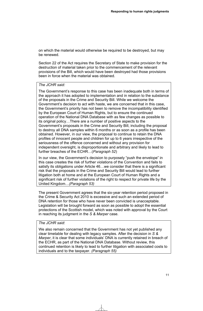on which the material would otherwise be required to be destroyed, but may be renewed.

Section 22 of the Act requires the Secretary of State to make provision for the destruction of material taken prior to the commencement of the relevant provisions of the Bill, which would have been destroyed had those provisions been in force when the material was obtained.

#### *The JCHR said:*

The Government's response to this case has been inadequate both in terms of the approach it has adopted to implementation and in relation to the substance of the proposals in the Crime and Security Bill. While we welcome the Government's decision to act with haste, we are concerned that in this case, the Government's priority has not been to remove the incompatibility identified by the European Court of Human Rights, but to ensure the continued operation of the National DNA Database with as few changes as possible to its original policy…There are a number of positive aspects to the Government's proposals in the Crime and Security Bill, including the proposal to destroy all DNA samples within 6 months or as soon as a profile has been obtained. However, in our view, the proposal to continue to retain the DNA profiles of innocent people and children for up to 6 years irrespective of the seriousness of the offence concerned and without any provision for independent oversight, is disproportionate and arbitrary and likely to lead to further breaches of the ECHR…(*Paragraph 52*)

In our view, the Government's decision to purposely "push the envelope" in this case creates the risk of further violations of the Convention and fails to satisfy its obligations under Article 46…we consider that there is a significant risk that the proposals in the Crime and Security Bill would lead to further litigation both at home and at the European Court of Human Rights and a significant risk of further violations of the right to respect for private life by the United Kingdom…*(Paragraph 53)*

The present Government agrees that the six-year retention period proposed in the Crime & Security Act 2010 is excessive and such an extended period of DNA retention for those who have never been convicted is unacceptable. Legislation will be brought forward as soon as possible to adopt the essential protections of the Scottish model, which was noted with approval by the Court in reaching its judgment in the *S & Marper* case.

## *The JCHR said*:

We also remain concerned that the Government has not yet published any clear timetable for dealing with legacy samples. After the decision in *S & Marper*, it is clear that some individuals' DNA is currently retained in breach of the ECHR, as part of the National DNA Database. Without review, this continued retention is likely to lead to further litigation with associated costs to individuals and to the taxpayer. *(Paragraph 55)*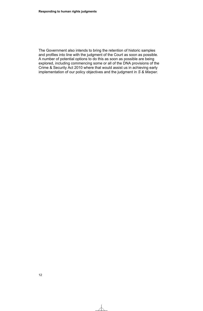The Government also intends to bring the retention of historic samples and profiles into line with the judgment of the Court as soon as possible. A number of potential options to do this as soon as possible are being explored, including commencing some or all of the DNA provisions of the Crime & Security Act 2010 where that would assist us in achieving early implementation of our policy objectives and the judgment in *S & Marper*.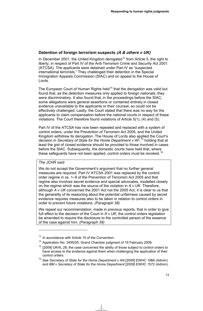## **Detention of foreign terrorism suspects (A & others v UK)**

In December 2001, the United Kingdom derogated<sup>[13](#page-15-0)</sup> from Article 5, the right to liberty, in respect of Part IV of the Anti-Terrorism Crime and Security Act 2001 (ATCSA). The applicants were detained under Part IV as "suspected international terrorists." They challenged their detention in the Special Immigration Appeals Commission (SIAC) and on appeal to the House of Lords.

The European Court of Human Rights held<sup>[14](#page-15-1)</sup> that the derogation was valid but found that, as the detention measures only applied to foreign nationals, they were discriminatory. It also found that, in the proceedings before the SIAC, some allegations were general assertions or contained entirely in closed evidence unavailable to the applicants or their counsel, so could not be effectively challenged. Lastly, the Court stated that there was no way for the applicants to claim compensation before the national courts in respect of these violations. The Court therefore found violations of Article 5(1), (4) and (5).

Part IV of the ATCSA has now been repealed and replaced with a system of control orders, under the Prevention of Terrorism Act 2005, and the United Kingdom withdrew its derogation. The House of Lords also applied the Court's decision in *Secretary of State for the Home Department v AF*, [15](#page-15-2) holding that at least the gist of closed evidence should be provided to those involved in cases before the SIAC. Subsequently, the domestic courts have held that, where these safeguards have not been applied, control orders must be revoked.<sup>[16](#page-15-3)</sup>

## *The JCHR said:*

We do not accept the Government's argument that no further general measures are required. Part IV ATCSA 2001 was replaced by the control order regime in ss. 1–9 of the Prevention of Terrorism Act 2005 and that regime also involves secret evidence and special advocates, modelled closely on the regime which was the source of the violation in *A v UK*. Therefore, although *A v UK* concerned the 2001 Act not the 2005 Act, it is clear to us that the generality of its reasoning about the potential unfairness caused by secret evidence requires measures also to be taken in relation to control orders in order to prevent future violations. *(Paragraph 38)*

We repeat our recommendation, made in previous reports, that in order to give full effect to the decision of the Court in *A v UK*, the control orders legislation be amended to require the disclosure to the controlled person of the essence of the case against him. *(Paragraph 39)*

<span id="page-15-0"></span> $13$  In accordance with Article 15 of the Convention.

<span id="page-15-1"></span><sup>&</sup>lt;sup>14</sup> Application No. 3455/05, Grand Chamber judgment of 19 February 2009.

<span id="page-15-2"></span> $15$  [2009] UKHL 28; the case concerned the ability of those subject to control orders to have access to the evidence against them when challenging the application of their control orders.

<span id="page-15-3"></span><sup>&</sup>lt;sup>16</sup> See *Secretary of State for the Home Department v AN* [2009] EWHC 1966 (Admin) and *BM v Secretary of State for the Home Department* [2009] EWHC 1572 (Admin).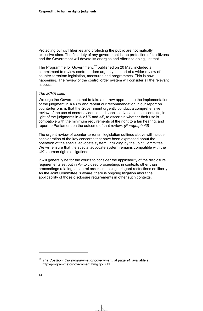Protecting our civil liberties and protecting the public are not mutually exclusive aims. The first duty of any government is the protection of its citizens and the Government will devote its energies and efforts to doing just that.

The Programme for Government,  $17$  published on 20 May, included a commitment to review control orders urgently, as part of a wider review of counter-terrorism legislation, measures and programmes. This is now happening. The review of the control order system will consider all the relevant aspects.

#### *The JCHR said:*

We urge the Government not to take a narrow approach to the implementation of the judgment in *A v UK* and repeat our recommendation in our report on counterterrorism, that the Government urgently conduct a comprehensive review of the use of secret evidence and special advocates in all contexts, in light of the judgments in *A v UK* and *AF*, to ascertain whether their use is compatible with the minimum requirements of the right to a fair hearing, and report to Parliament on the outcome of that review. *(Paragraph 40)*

The urgent review of counter-terrorism legislation outlined above will include consideration of the key concerns that have been expressed about the operation of the special advocate system, including by the Joint Committee. We will ensure that the special advocate system remains compatible with the UK's human rights obligations.

It will generally be for the courts to consider the applicability of the disclosure requirements set out in *AF* to closed proceedings in contexts other than proceedings relating to control orders imposing stringent restrictions on liberty. As the Joint Committee is aware, there is ongoing litigation about the applicability of those disclosure requirements in other such contexts.

<span id="page-16-0"></span><sup>17</sup> *The Coalition: Our programme for government,* at page 24; available at: http://programmeforgovernment.hmg.gov.uk/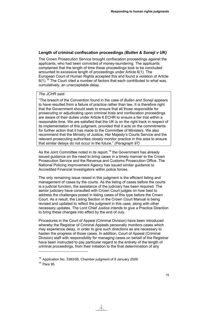## **Length of criminal confiscation proceedings** *(Bullen & Soneji v UK)*

The Crown Prosecution Service brought confiscation proceedings against the applicants, who had been convicted of money-laundering. The applicants complained that the length of time these proceedings took to be concluded amounted to excessive length of proceedings under Article 6(1). The European Court of Human Rights accepted this and found a violation of Article  $6(1)$ .<sup>[18](#page-17-0)</sup> The Court cited a number of factors that each contributed to what was, cumulatively, an unacceptable delay.

#### *The JCHR said:*

"The breach of the Convention found in the case of *Bullen and Soneji* appears to have resulted from a failure of practice rather than law. It is therefore right that the Government should seek to ensure that all those responsible for prosecuting or adjudicating upon criminal trials and confiscation proceedings are aware of their duties under Article 6 ECHR to ensure a fair trial within a reasonable time. We are satisfied that the UK is on the right track in respect of its implementation of this judgment, provided that it acts on the commitments for further action that it has made to the Committee of Ministers. We also recommend that the Ministry of Justice, Her Majesty's Courts Service and the relevant prosecuting authorities closely monitor practice in this area to ensure that similar delays do not occur in the future." *(Paragraph 97)*

As the Joint Committee noted in its report,  $19$  the Government has already issued guidance on the need to bring cases in a timely manner to the Crown Prosecution Service and the Revenue and Customs Prosecution Office. The National Policing Improvement Agency has issued similar guidance to Accredited Financial Investigators within police forces.

The only remaining issue raised in this judgment is the efficient listing and management of cases by the courts. As the listing of cases before the courts is a judicial function, the assistance of the judiciary has been required. The senior judiciary have consulted with Crown Court judges on how best to address the challenges posed in listing cases of this type before the Crown Court. As a result, the Listing Section in the Crown Court Manual is being revised and updated to reflect the judgment in this case, along with other necessary updates. The Lord Chief Justice intends to give a Practice Direction to bring these changes into effect by the end of July.

Procedures in the Court of Appeal (Criminal Division) have been introduced whereby the Registrar of Criminal Appeals personally monitors cases which may experience delay, in order to give such directions as are necessary to hasten the progress of those cases. In addition, Court of Appeal (Criminal Division) staff with responsibility for managing cases on behalf of the Registrar have been instructed to pay particular regard to the entirety of the length of criminal proceedings, from their initiation to the final determination of any

 $\overline{a}$ 

<span id="page-17-0"></span><sup>18</sup> Application No. 3383/06, Chamber judgment of 8 January 2009.

<span id="page-17-1"></span> $19$  Para 95.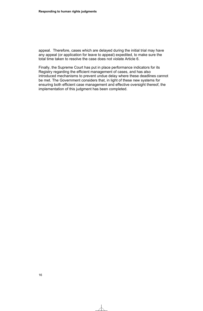appeal. Therefore, cases which are delayed during the initial trial may have any appeal (or application for leave to appeal) expedited, to make sure the total time taken to resolve the case does not violate Article 6.

Finally, the Supreme Court has put in place performance indicators for its Registry regarding the efficient management of cases, and has also introduced mechanisms to prevent undue delay where these deadlines cannot be met. The Government considers that, in light of these new systems for ensuring both efficient case management and effective oversight thereof, the implementation of this judgment has been completed.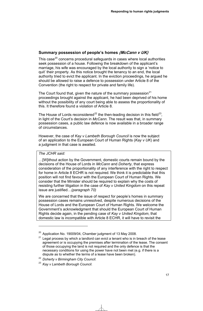## **Summary possession of people's homes (McCann v UK)**

This case<sup>20</sup> concerns procedural safeguards in cases where local authorities seek possession of a house. Following the breakdown of the applicant's marriage, his wife was encouraged by the local authority to sign a 'notice to quit' their property. As this notice brought the tenancy to an end, the local authority tried to evict the applicant. In the eviction proceedings, he argued he should be allowed to raise a defence to possession under Article 8 of the Convention (the right to respect for private and family life).

The Court found that, given the nature of the summary possession<sup>[21](#page-19-1)</sup> proceedings brought against the applicant, he had been deprived of his home without the possibility of any court being able to assess the proportionality of this. It therefore found a violation of Article 8.

The House of Lords reconsidered<sup>[22](#page-19-2)</sup> the then-leading decision in this field<sup>[23](#page-19-3)</sup>, in light of the Court's decision in *McCann.* The result was that, in summary possession cases, a public law defence is now available in a broader range of circumstances.

However, the case of *Kay v Lambeth Borough Council* is now the subject of an application to the European Court of Human Rights (*Kay v UK*) and a judgment in that case is awaited.

*The JCHR said:* 

…[W]ithout action by the Government, domestic courts remain bound by the decisions of the House of Lords in *McCann* and *Doherty*, that express consideration of the proportionality of any interference with the right to respect for home in Article 8 ECHR is not required. We think it is predictable that this position will not find favour with the European Court of Human Rights. We consider that the Minister should be required to explain why the costs of resisting further litigation in the case of *Kay v United Kingdom* on this repeat issue are justified…*(paragraph 70)*

We are concerned that the issue of respect for people's homes in summary possession cases remains unresolved, despite numerous decisions of the House of Lords and the European Court of Human Rights. We welcome the Government's acknowledgment that should the European Court of Human Rights decide again, in the pending case of *Kay v United Kingdom*, that domestic law is incompatible with Article 8 ECHR, it will have to revisit the

<span id="page-19-0"></span> $20$  Application No. 19009/04, Chamber judgment of 13 May 2008.

<span id="page-19-1"></span> $21$  Legal process by which a landlord can evict a tenant who is in breach of the lease agreement or is occupying the premises after termination of the lease. The consent of those occupying the land is not required and the only defence is that the necessary conditions for using the power have not been met (e.g. if there is a dispute as to whether the terms of a lease have been broken).

<span id="page-19-2"></span><sup>22</sup> *Doherty v Birmingham City Council.*

<span id="page-19-3"></span><sup>23</sup> *Kay v Lambeth Borough Council.*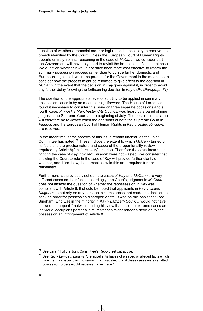question of whether a remedial order or legislation is necessary to remove the breach identified by the Court. Unless the European Court of Human Rights departs entirely from its reasoning in the case of *McCann*, we consider that the Government will inevitably need to revisit the breach identified in that case. We question whether it would not have been more cost effective to reform the summary possession process rather than to pursue further domestic and European litigation. It would be prudent for the Government in the meantime to consider how the process might be reformed to give effect to the decision in *McCann* in the event that the decision in *Kay* goes against it, in order to avoid any further delay following the forthcoming decision in *Kay v UK. (Paragraph 71)*

The question of the appropriate level of scrutiny to be applied in summary possession cases is by no means straightforward. The House of Lords has found it necessary to consider this issue on three separate occasions and a fourth case, *Pinnock v Manchester City Council*, was heard by a panel of nine judges in the Supreme Court at the beginning of July. The position in this area will therefore be reviewed when the decisions of both the Supreme Court in *Pinnock* and the European Court of Human Rights in *Kay v United Kingdom* are received*.*

In the meantime, some aspects of this issue remain unclear, as the Joint Committee has noted.[24](#page-20-0) These include the extent to which *McCann* turned on its facts and the precise nature and scope of the proportionality review required by Article 8(2)'s "necessity" criterion. Therefore the costs incurred in fighting the case of *Kay v United Kingdom* were not wasted. We consider that allowing the Court to rule in the case of *Kay* will provide further clarity on whether, and, if so, how, the domestic law in this area requires further refinement.

Furthermore, as previously set out, the cases of *Kay* and *McCann* are very different cases on their facts; accordingly, the Court's judgment in *McCann* does not answer the question of whether the repossession in *Kay* was compliant with Article 8. It should be noted that applicants in *Kay v United Kingdom* do not rely on any personal circumstances that made the decision to seek an order for possession disproportionate. It was on this basis that Lord Bingham (who was in the minority in *Kay v Lambeth Council)* would not have allowed the appeal<sup>[25](#page-20-1)</sup> notwithstanding his view that in some extreme cases an individual occupier's personal circumstances might render a decision to seek possession an infringement of Article 8.

 $24$  See para 71 of the Joint Committee's Report, set out above.

<span id="page-20-1"></span><span id="page-20-0"></span><sup>25</sup> See *Kay v Lambeth* para 47 "the appellants have not pleaded or alleged facts which give them a special claim to remain. I am satisfied that if these cases were remitted, possession orders would necessarily be made."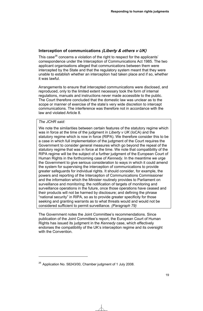## **Interception of communications (Liberty & others v UK)**

This case<sup>26</sup> concerns a violation of the right to respect for the applicants' correspondence under the Interception of Communications Act 1985. The two applicant organisations alleged that communications between them were intercepted by the State and that the regulatory system meant that they were unable to establish whether an interception had taken place and if so, whether it was lawful.

Arrangements to ensure that intercepted communications were disclosed, and reproduced, only to the limited extent necessary took the form of internal regulations, manuals and instructions never made accessible to the public. The Court therefore concluded that the domestic law was unclear as to the scope or manner of exercise of the state's very wide discretion to intercept communications. The interference was therefore not in accordance with the law and violated Article 8.

## *The JCHR said:*

We note the similarities between certain features of the statutory regime which was in force at the time of the judgment in *Liberty v UK* (IoCA) and the statutory regime which is now in force (RIPA). We therefore consider this to be a case in which full implementation of the judgment of the Court requires the Government to consider general measures which go beyond the repeal of the statutory regime that was in force at the time. We note that compatibility of the RIPA regime will be the subject of a further judgment of the European Court of Human Rights in the forthcoming case of *Kennedy*. In the meantime we urge the Government to give serious consideration to ways in which it could amend the system for supervising the interception of communications to provide greater safeguards for individual rights. It should consider, for example, the powers and reporting of the Interception of Communications Commissioner and the information which the Minister routinely provides to Parliament on surveillance and monitoring; the notification of targets of monitoring and surveillance operations in the future, once those operations have ceased and their products will not be harmed by disclosure; and defining the phrase "national security" in RIPA, so as to provide greater specificity for those seeking and granting warrants as to what threats would and would not be considered sufficient to permit surveillance. *(Paragraph 79)*

The Government notes the Joint Committee's recommendations. Since publication of the Joint Committee's report, the European Court of Human Rights has issued its judgment in the *Kennedy* case, which effectively endorses the compatibility of the UK's interception regime and its oversight with the Convention.

<span id="page-21-0"></span> $26$  Application No. 58243/00, Chamber judgment of 1 July 2008.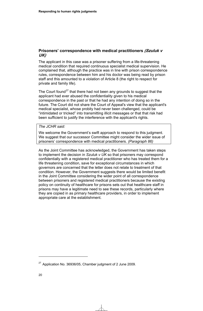## **Prisoners' correspondence with medical practitioners (Szuluk v UK)**

The applicant in this case was a prisoner suffering from a life-threatening medical condition that required continuous specialist medical supervision. He complained that, although the practice was in line with prison correspondence rules, correspondence between him and his doctor was being read by prison staff and this amounted to a violation of Article 8 (the right to respect for private and family life).

The Court found<sup>[27](#page-22-0)</sup> that there had not been any grounds to suggest that the applicant had ever abused the confidentiality given to his medical correspondence in the past or that he had any intention of doing so in the future. The Court did not share the Court of Appeal's view that the applicant's medical specialist, whose probity had never been challenged, could be "intimidated or tricked" into transmitting illicit messages or that that risk had been sufficient to justify the interference with the applicant's rights.

## *The JCHR said:*

We welcome the Government's swift approach to respond to this judgment. We suggest that our successor Committee might consider the wider issue of prisoners' correspondence with medical practitioners. *(Paragraph 86)*

As the Joint Committee has acknowledged, the Government has taken steps to implement the decision in *Szuluk v UK* so that prisoners may correspond confidentially with a registered medical practitioner who has treated them for a life threatening condition, save for exceptional circumstances in which governors are concerned that the letter does not relate to treatment of that condition. However, the Government suggests there would be limited benefit in the Joint Committee considering the wider point of all correspondence between prisoners and registered medical practitioners because the existing policy on continuity of healthcare for prisons sets out that healthcare staff in prisons may have a legitimate need to see these records, particularly where they are copied in as primary healthcare providers, in order to implement appropriate care at the establishment.

<span id="page-22-0"></span> $27$  Application No. 36936/05, Chamber judgment of 2 June 2009.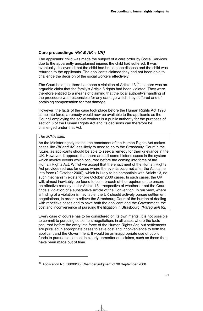## **Care proceedings (RK & AK v UK)**

The applicants' child was made the subject of a care order by Social Services due to the apparently unexplained injuries the child had suffered. It was eventually discovered that the child had brittle bone disease and the child was returned to the applicants. The applicants claimed they had not been able to challenge the decision of the social workers effectively.

The Court held that there had been a violation of Article 13. $^{28}$  as there was an arguable claim that the family's Article 8 rights had been violated. They were therefore entitled to a means of claiming that the local authority's handling of the procedure was responsible for any damage which they suffered and of obtaining compensation for that damage.

However, the facts of the case took place before the Human Rights Act 1998 came into force; a remedy would now be available to the applicants as the Council employing the social workers is a public authority for the purposes of section 6 of the Human Rights Act and its decisions can therefore be challenged under that Act.

#### *The JCHR said*:

As the Minister rightly states, the enactment of the Human Rights Act makes cases like *RK and AK* less likely to need to go to the Strasbourg Court in the future, as applicants should be able to seek a remedy for their grievance in the UK. However, it appears that there are still some historic cases in the system which involve events which occurred before the coming into force of the Human Rights Act. Whilst we accept that the enactment of the Human Rights Act provides redress for cases where the events occurred after the Act came into force (2 October 2000), which is likely to be compatible with Article 13, no such mechanism exists for pre October 2000 cases. In such cases, the UK will, almost inevitably, be found to be in breach of the requirement to ensure an effective remedy under Article 13, irrespective of whether or not the Court finds a violation of a substantive Article of the Convention. In our view, where a finding of a violation is inevitable, the UK should actively pursue settlement negotiations, in order to relieve the Strasbourg Court of the burden of dealing with repetitive cases and to save both the applicant and the Government, the cost and inconvenience of pursuing the litigation in Strasbourg. *(Paragraph 92)*

Every case of course has to be considered on its own merits. It is not possible to commit to pursuing settlement negotiations in all cases where the facts occurred before the entry into force of the Human Rights Act, but settlements are pursued in appropriate cases to save cost and inconvenience to both the applicant and the Government. It would be an inappropriate use of public funds to pursue settlement in clearly unmeritorious claims, such as those that have been made out of time.

<span id="page-23-0"></span> $^{28}$  Application No. 38000/05, Chamber judgment of 30 September 2008.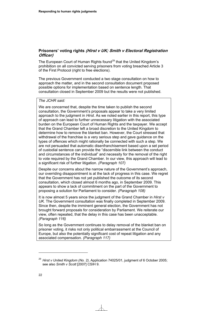## **Prisoners' voting rights (Hirst v UK; Smith v Electoral Registration Officer)**

The European Court of Human Rights found<sup>29</sup> that the United Kingdom's prohibition on all convicted serving prisoners from voting breached Article 3 of the First Protocol (right to free elections).

The previous Government conducted a two stage consultation on how to approach the matter, and in the second consultation document proposed possible options for implementation based on sentence length. That consultation closed in September 2009 but the results were not published.

## *The JCHR said:*

We are concerned that, despite the time taken to publish the second consultation, the Government's proposals appear to take a very limited approach to the judgment in *Hirst*. As we noted earlier in this report, this type of approach can lead to further unnecessary litigation with the associated burden on the European Court of Human Rights and the taxpayer. We accept that the Grand Chamber left a broad discretion to the United Kingdom to determine how to remove the blanket ban. However, the Court stressed that withdrawal of the franchise is a very serious step and gave guidance on the types of offences which might rationally be connected with such a step. We are not persuaded that automatic disenfranchisement based upon a set period of custodial sentence can provide the "discernible link between the conduct and circumstances of the individual" and necessity for the removal of the right to vote required by the Grand Chamber. In our view, this approach will lead to a significant risk of further litigation. *(Paragraph 107)*

Despite our concerns about the narrow nature of the Government's approach, our overriding disappointment is at the lack of progress in this case. We regret that the Government has not yet published the outcome of its second consultation, which closed almost 6 months ago, in September 2009. This appears to show a lack of commitment on the part of the Government to proposing a solution for Parliament to consider. *(Paragraph 108)*

It is now almost 5 years since the judgment of the Grand Chamber in *Hirst v UK.* The Government consultation was finally completed in September 2009. Since then, despite the imminent general election, the Government has not brought forward proposals for consideration by Parliament. We reiterate our view, often repeated, that the delay in this case has been unacceptable. *(Paragraph 116)*

So long as the Government continues to delay removal of the blanket ban on prisoner voting, it risks not only political embarrassment at the Council of Europe, but also the potentially significant cost of repeat litigation and any associated compensation. *(Paragraph 117)*

<span id="page-24-0"></span><sup>29</sup> *Hirst v United Kingdom (No. 2)*, Application 74025/01, judgment of 6 October 2005; see also *Smith v Scott* [2007] CSIH 9.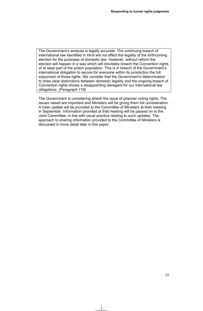The Government's analysis is legally accurate. The continuing breach of international law identified in *Hirst* will not affect the legality of the forthcoming election for the purposes of domestic law. However, without reform the election will happen in a way which will inevitably breach the Convention rights of at least part of the prison population. This is in breach of the Government's international obligation to secure for everyone within its jurisdiction the full enjoyment of those rights. We consider that the Government's determination to draw clear distinctions between domestic legality and the ongoing breach of Convention rights shows a disappointing disregard for our international law obligations. *(Paragraph 119)*

The Government is considering afresh the issue of prisoner voting rights. The issues raised are important and Ministers will be giving them full consideration. A fuller update will be provided to the Committee of Ministers at their meeting in September. Information provided at that meeting will be passed on to the Joint Committee, in line with usual practice relating to such updates. The approach to sharing information provided to the Committee of Ministers is discussed in more detail later in this paper.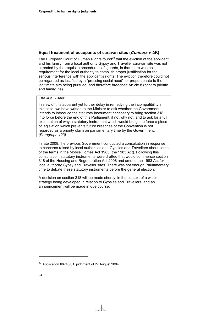## **Equal treatment of occupants of caravan sites (Connors v UK)**

The European Court of Human Rights found<sup>30</sup> that the eviction of the applicant and his family from a local authority Gypsy and Traveller caravan site was not attended by the requisite procedural safeguards, in that there was no requirement for the local authority to establish proper justification for the serious interference with the applicant's rights. The eviction therefore could not be regarded as justified by a "pressing social need", or proportionate to the legitimate aim being pursued, and therefore breached Article 8 (right to private and family life).

## *The JCHR said:*

In view of this apparent yet further delay in remedying the incompatibility in this case, we have written to the Minister to ask whether the Government intends to introduce the statutory instrument necessary to bring section 318 into force before the end of this Parliament; if not why not; and to ask for a full explanation of why a statutory instrument which would bring into force a piece of legislation which prevents future breaches of the Convention is not regarded as a priority claim on parliamentary time by the Government. *(Paragraph 123)*

In late 2008, the previous Government conducted a consultation in response to concerns raised by local authorities and Gypsies and Travellers about some of the terms in the Mobile Homes Act 1983 (the 1983 Act). Following this consultation, statutory instruments were drafted that would commence section 318 of the Housing and Regeneration Act 2008 and amend the 1983 Act for local authority Gypsy and Traveller sites. There was not enough Parliamentary time to debate these statutory instruments before the general election.

A decision on section 318 will be made shortly, in the context of a wider strategy being developed in relation to Gypsies and Travellers, and an announcement will be made in due course.

<span id="page-26-0"></span> $30$  Application 66746/01, judgment of 27 August 2004.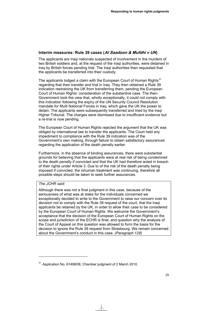## **Interim measures: Rule 39 cases (Al Saadoon & Mufdhi v UK)**

The applicants are Iraqi nationals suspected of involvement in the murders of two British soldiers and, at the request of the Iraqi authorities, were detained in Iraq by British forces pending trial. The Iraqi authorities then requested that the applicants be transferred into their custody.

The applicants lodged a claim with the European Court of Human Rights $31$ regarding that their transfer and trial in Iraq. They then obtained a Rule 39 indication restraining the UK from transferring them, pending the European Court of Human Rights' consideration of the substantive case. The then-Government took the view that, wholly exceptionally, it could not comply with this indication following the expiry of the UN Security Council Resolution mandate for Multi National Forces in Iraq, which gave the UK the power to detain. The applicants were subsequently transferred and tried by the Iraqi Higher Tribunal. The charges were dismissed due to insufficient evidence but a re-trial is now pending.

The European Court of Human Rights rejected the argument that the UK was obliged by international law to transfer the applicants. The Court held any impediment to compliance with the Rule 39 indication was of the Government's own making, through failure to obtain satisfactory assurances regarding the application of the death penalty earlier.

Furthermore, in the absence of binding assurances, there were substantial grounds for believing that the applicants were at real risk of being condemned to the death penalty if convicted and that the UK had therefore acted in breach of their rights under Article 3. Due to of the risk of the death penalty being imposed if convicted, the inhuman treatment was continuing, therefore all possible steps should be taken to seek further assurances.

#### *The JCHR said:*

Although there was not a final judgment in this case, because of the seriousness of what was at stake for the individuals concerned we exceptionally decided to write to the Government to raise our concern over its decision not to comply with the Rule 39 request of the court, that the Iraqi applicants be retained by the UK, in order to allow their case to be considered by the European Court of Human Rights. We welcome the Government's acceptance that the decision of the European Court of Human Rights on the scope and jurisdiction of the ECHR is final, and question why the analysis of the Court of Appeal on this question was allowed to form the basis for the decision to ignore the Rule 39 request from Strasbourg. We remain concerned about the Government's conduct in this case. *(Paragraph 129)*

<span id="page-27-0"></span> $31$  Application No. 61498/08, Chamber judgment of 2 March 2010.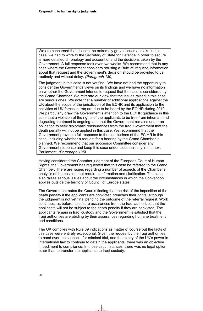We are concerned that despite the extremely grave issues at stake in this case, we had to write to the Secretary of State for Defence in order to secure a more detailed chronology and account of and the decisions taken by the Government. A full response took over two weeks. We recommend that in any case where the Government considers refusing a Rule 39 request, information about that request and the Government's decision should be provided to us routinely and without delay. *(Paragraph 130)*

The judgment in this case is not yet final. We have not had the opportunity to consider the Government's views on its findings and we have no information on whether the Government intends to request that the case is considered by the Grand Chamber. We reiterate our view that the issues raised in this case are serious ones. We note that a number of additional applications against the UK about the scope of the jurisdiction of the ECHR and its application to the activities of UK forces in Iraq are due to be heard by the ECtHR during 2010. We particularly draw the Government's attention to the ECtHR guidance in this case that a violation of the rights of the applicants to be free from inhuman and degrading treatment is ongoing, and that the Government remains under an obligation to seek diplomatic reassurances from the Iraqi Government that the death penalty will not be applied in this case. We recommend that the Government provide a full response to the conclusions of the ECtHR in this case, including whether a request for a hearing by the Grand Chamber is planned. We recommend that our successor Committee consider any Government response and keep this case under close scrutiny in the next Parliament. *(Paragraph 135)*

Having considered the Chamber judgment of the European Court of Human Rights, the Government has requested that this case be referred to the Grand Chamber. There are issues regarding a number of aspects of the Chamber's analysis of the position that require confirmation and clarification. The case also raises serious issues about the circumstances in which the Convention applies outside the territory of Council of Europe states.

The Government notes the Court's finding that the risk of the imposition of the death penalty if the applicants are convicted breaches their rights, although the judgment is not yet final pending the outcome of the referral request. Work continues, as before, to secure assurances from the Iraqi authorities that the applicants will not be subject to the death penalty if they are convicted. The applicants remain in Iraqi custody and the Government is satisfied that the Iraqi authorities are abiding by their assurances regarding humane treatment and conditions.

The UK complies with Rule 39 indications as matter of course but the facts of this case were entirely exceptional. Given the request by the Iraqi authorities to hand over the suspects for criminal trial, and the expiry of the UK's power in international law to continue to detain the applicants, there was an objective impediment to compliance. In those circumstances, there was no legal option other than to transfer the applicants to Iraqi custody.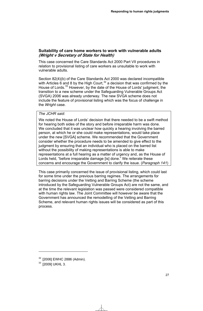## **Suitability of care home workers to work with vulnerable adults (Wright v Secretary of State for Health)**

This case concerned the Care Standards Act 2000 Part VII procedures in relation to provisional listing of care workers as unsuitable to work with vulnerable adults.

Section 82(4)(b) of the Care Standards Act 2000 was declared incompatible with Articles 6 and 8 by the High Court,<sup>32</sup> a decision that was confirmed by the House of Lords.<sup>[33](#page-29-1)</sup> However, by the date of the House of Lords' judgment, the transition to a new scheme under the Safeguarding Vulnerable Groups Act (SVGA) 2006 was already underway. The new SVGA scheme does not include the feature of provisional listing which was the focus of challenge in the *Wright* case.

## *The JCHR said:*

We noted the House of Lords' decision that there needed to be a swift method for hearing both sides of the story and before irreparable harm was done. We concluded that it was unclear how quickly a hearing involving the barred person, at which he or she could make representations, would take place under the new [SVGA] scheme. We recommended that the Government consider whether the procedure needs to be amended to give effect to the judgment by ensuring that an individual who is placed on the barred list without the possibility of making representations is able to make representations at a full hearing as a matter of urgency and, as the House of Lords held, "before irreparable damage [is] done." We reiterate these concerns and encourage the Government to clarify the issue. (*Paragraph 141*)

This case primarily concerned the issue of provisional listing, which could last for some time under the previous barring regimes. The arrangements for barring decisions under the Vetting and Barring Scheme (the scheme introduced by the Safeguarding Vulnerable Groups Act) are not the same, and at the time the relevant legislation was passed were considered compatible with human rights law. The Joint Committee will however be aware that the Government has announced the remodelling of the Vetting and Barring Scheme, and relevant human rights issues will be considered as part of this process.

<span id="page-29-0"></span><sup>32 [2006]</sup> EWHC 2886 (Admin).

<span id="page-29-1"></span><sup>33 [2009]</sup> UKHL 3.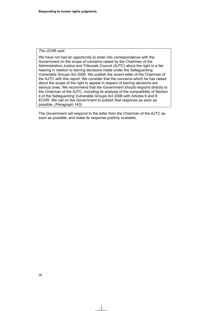*The JCHR said:* 

We have not had an opportunity to enter into correspondence with the Government on the scope of concerns raised by the Chairman of the Administrative Justice and Tribunals Council (AJTC) about the right to a fair hearing in relation to barring decisions made under the Safeguarding Vulnerable Groups Act 2006. We publish the recent letter of the Chairman of the AJTC with this report. We consider that the concerns which he has raised about the scope of the right to appeal in respect of barring decisions are serious ones. We recommend that the Government should respond directly to the Chairman of the AJTC, including its analysis of the compatibility of Section 4 of the Safeguarding Vulnerable Groups Act 2006 with Articles 6 and 8 ECHR. We call on the Government to publish that response as soon as possible. *(Paragraph 143)* 

The Government will respond to the letter from the Chairman of the AJTC as soon as possible, and make its response publicly available.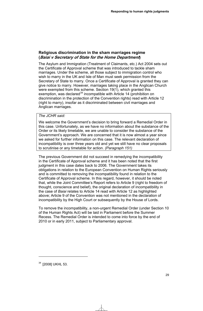## **Religious discrimination in the sham marriages regime (Baiai v Secretary of State for the Home Department)**

The Asylum and Immigration (Treatment of Claimants, etc.) Act 2004 sets out the Certificate of Approval scheme that was introduced to tackle sham marriages. Under the scheme, all those subject to immigration control who wish to marry in the UK and Isle of Man must seek permission from the Secretary of State to marry. Once a Certificate of Approval is granted they can give notice to marry. However, marriages taking place in the Anglican Church were exempted from this scheme. Section 19(1), which granted this exemption, was declared $34$  incompatible with Article 14 (prohibition on discrimination in the protection of the Convention rights) read with Article 12 (right to marry), insofar as it discriminated between civil marriages and Anglican marriages.

#### *The JCHR said:*

We welcome the Government's decision to bring forward a Remedial Order in this case. Unfortunately, as we have no information about the substance of the Order or its likely timetable, we are unable to consider the substance of the Government's approach. We are concerned that it is now almost a year since we asked for further information on this case. The relevant declaration of incompatibility is over three years old and yet we still have no clear proposals to scrutinise or any timetable for action. *(Paragraph 151)* 

The previous Government did not succeed in remedying the incompatibility in the Certificate of Approval scheme and it has been noted that the first judgment in this case dates back to 2006. The Government takes its obligations in relation to the European Convention on Human Rights seriously and is committed to removing the incompatibility found in relation to the Certificate of Approval scheme. In this regard, however, it should be noted that, while the Joint Committee's Report refers to Article 9 (right to freedom of thought, conscience and belief), the original declaration of incompatibility in the case of *Baiai* relates to Article 14 read with Article 12 as highlighted above; Article 9 of the Convention was not mentioned in the declaration of incompatibility by the High Court or subsequently by the House of Lords.

To remove the incompatibility, a non-urgent Remedial Order (under Section 10 of the Human Rights Act) will be laid in Parliament before the Summer Recess. The Remedial Order is intended to come into force by the end of 2010 or in early 2011, subject to Parliamentary approval.

<span id="page-31-0"></span><sup>&</sup>lt;sup>34</sup> [2008] UKHL 53.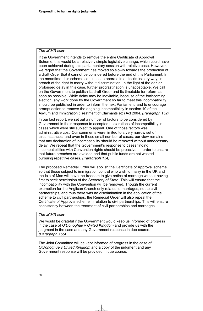#### *The JCHR said:*

If the Government intends to remove the entire Certificate of Approval Scheme, this would be a relatively simple legislative change, which could have been achieved during this parliamentary session with relative ease. However, we regret that the Government has moved so slowly towards the production of a draft Order that it cannot be considered before the end of this Parliament. In the meantime, this scheme continues to operate in a discriminatory way, in breach of the right to marry without discrimination. In the light of the earlier prolonged delay in this case, further procrastination is unacceptable. We call on the Government to publish its draft Order and its timetable for reform as soon as possible. While delay may be inevitable, because of the forthcoming election, any work done by the Government so far to meet this incompatibility should be published in order to inform the next Parliament, and to encourage prompt action to remove the ongoing incompatibility in section 19 of the Asylum and Immigration (Treatment of Claimants etc) Act 2004. *(Paragraph 152)*

In our last report, we set out a number of factors to be considered by Government in their response to accepted declarations of incompatibility in cases which were still subject to appeal. One of those factors was administrative cost. Our comments were limited to a very narrow set of circumstances, and even in those small number of cases, our view remains that any declaration of incompatibility should be removed without unnecessary delay. We repeat that the Government's response to cases finding incompatibilities with Convention rights should be proactive, in order to ensure that future breaches are avoided and that public funds are not wasted pursuing repetitive cases. *(Paragraph 154)* 

The proposed Remedial Order will abolish the Certificate of Approval scheme so that those subject to immigration control who wish to marry in the UK and the Isle of Man will have the freedom to give notice of marriage without having first to seek permission of the Secretary of State. This will ensure that the incompatibility with the Convention will be removed. Though the current exemption for the Anglican Church only relates to marriages, not to civil partnerships, and thus there was no discrimination in the application of the scheme to civil partnerships, the Remedial Order will also repeal the Certificate of Approval scheme in relation to civil partnerships. This will ensure consistency between the treatment of civil partnerships and marriages.

## *The JCHR said:*

We would be grateful if the Government would keep us informed of progress in the case of *O'Donoghue v United Kingdom* and provide us with the judgment in the case and any Government response in due course. *(Paragraph 155)* 

The Joint Committee will be kept informed of progress in the case of *O'Donoghue v United Kingdom* and a copy of the judgment and any Government response will be provided in due course.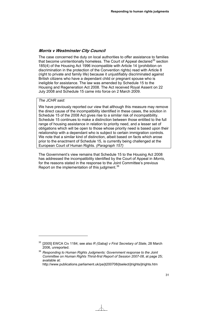## **Morris v Westminster City Council**

The case concerned the duty on local authorities to offer assistance to families that become unintentionally homeless. The Court of Appeal declared  $35$  section 185(4) of the Housing Act 1996 incompatible with Article 14 (prohibition on discrimination in the protection of the Convention rights) read with Article 8 (right to private and family life) because it unjustifiably discriminated against British citizens who have a dependant child or pregnant spouse who is ineligible for assistance. The law was amended by Schedule 15 to the Housing and Regeneration Act 2008. The Act received Royal Assent on 22 July 2008 and Schedule 15 came into force on 2 March 2009.

#### *The JCHR said:*

We have previously reported our view that although this measure may remove the direct cause of the incompatibility identified in these cases, the solution in Schedule 15 of the 2008 Act gives rise to a similar risk of incompatibility. Schedule 15 continues to make a distinction between those entitled to the full range of housing assistance in relation to priority need, and a lesser set of obligations which will be open to those whose priority need is based upon their relationship with a dependant who is subject to certain immigration controls. We note that a similar kind of distinction, albeit based on facts which arose prior to the enactment of Schedule 15, is currently being challenged at the European Court of Human Rights. *(Paragraph 157)*

The Government's view remains that Schedule 15 to the Housing Act 2008 has addressed the incompatibility identified by the Court of Appeal in *Morris*, for the reasons stated in the response to the Joint Committee's previous Report on the implementation of this judgment.<sup>[36](#page-33-1)</sup>

<span id="page-33-0"></span><sup>35 [2005]</sup> EWCA Civ 1184; see also *R (Gabaj) v First Secretary of State*, 28 March 2006, unreported.

<span id="page-33-1"></span><sup>36</sup> *Responding to Human Rights Judgments: Government response to the Joint Committee on Human Rights Thirst-first Report of Session 2007-08*, at page 25; available at:

http://www.publications.parliament.uk/pa/jt200708/jtselect/jtrights/jtrights.htm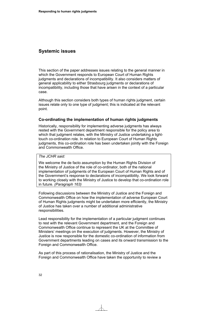## **Systemic issues**

This section of the paper addresses issues relating to the general manner in which the Government responds to European Court of Human Rights judgments and declarations of incompatibility. It also considers matters of general applicability to either Strasbourg judgments or declarations of incompatibility, including those that have arisen in the context of a particular case.

Although this section considers both types of human rights judgment, certain issues relate only to one type of judgment; this is indicated at the relevant point.

#### **Co-ordinating the implementation of human rights judgments**

Historically, responsibility for implementing adverse judgments has always rested with the Government department responsible for the policy area to which that judgment relates, with the Ministry of Justice undertaking a lighttouch co-ordination role. In relation to European Court of Human Rights judgments, this co-ordination role has been undertaken jointly with the Foreign and Commonwealth Office.

## *The JCHR said:*

We welcome the de facto assumption by the Human Rights Division of the Ministry of Justice of the role of co-ordinator, both of the national implementation of judgments of the European Court of Human Rights and of the Government's response to declarations of incompatibility. We look forward to working closely with the Ministry of Justice to develop that co-ordination role in future. *(Paragraph 163)* 

Following discussions between the Ministry of Justice and the Foreign and Commonwealth Office on how the implementation of adverse European Court of Human Rights judgments might be undertaken more efficiently, the Ministry of Justice has taken over a number of additional administrative responsibilities.

Lead responsibility for the implementation of a particular judgment continues to rest with the relevant Government department, and the Foreign and Commonwealth Office continue to represent the UK at the Committee of Ministers' meetings on the execution of judgments. However, the Ministry of Justice is now responsible for the domestic co-ordination of information from Government departments leading on cases and its onward transmission to the Foreign and Commonwealth Office.

As part of this process of rationalisation, the Ministry of Justice and the Foreign and Commonwealth Office have taken the opportunity to review a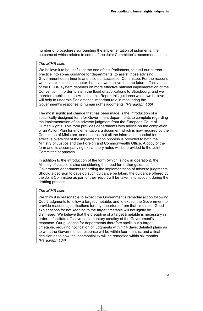number of procedures surrounding the implementation of judgments, the outcome of which relates to some of the Joint Committee's recommendations.

#### *The JCHR said:*

We believe it to be useful, at the end of this Parliament, to distil our current practice into some guidance for departments, to assist those advising Government departments and also our successor Committee. For the reasons we have explained in chapter 1 above, we believe that the future effectiveness of the ECHR system depends on more effective national implementation of the Convention, in order to stem the flood of applications to Strasbourg, and we therefore publish in the Annex to this Report this guidance which we believe will help to underpin Parliament's important role in monitoring the Government's response to human rights judgments. *(Paragraph 166)*

The most significant change that has been made is the introduction of a specifically-designed form for Government departments to complete regarding the implementation of an adverse judgment from the European Court of Human Rights. This form provides departments with advice on the completion of an Action Plan for implementation, a document which is now required by the Committee of Ministers, and ensures that all the information needed for effective oversight of the implementation process is provided to both the Ministry of Justice and the Foreign and Commonwealth Office. A copy of the form and its accompanying explanatory notes will be provided to the Joint Committee separately.

In addition to the introduction of the form (which is now in operation), the Ministry of Justice is also considering the need for further guidance for Government departments regarding the implementation of adverse judgments. Should a decision to develop such guidance be taken, the guidance offered by the Joint Committee as part of their report will be taken into account during the drafting process.

#### *The JCHR said:*

We think it is reasonable to expect the Government's remedial action following Court judgments to follow a target timetable, and to expect the Government to provide reasoned justifications for any departures from that timetable. Good explanations for not keeping to the target timetable will not lightly be dismissed. We believe that the discipline of a target timetable is necessary in order to facilitate effective parliamentary scrutiny of the Government's response. Our guidance for departments therefore spells out a target timetable, requiring notification of judgments within 14 days, detailed plans as to what the Government's response will be within four months, and a final decision as to how the incompatibility will be remedied within six months. *(Paragraph 184)*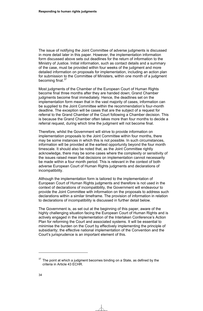The issue of notifying the Joint Committee of adverse judgments is discussed in more detail later in this paper. However, the implementation information form discussed above sets out deadlines for the return of information to the Ministry of Justice. Initial information, such as contact details and a summary of the case, must be provided within four weeks of the judgment and more detailed information on proposals for implementation, including an action plan for submission to the Committee of Ministers, within one month of a judgment becoming final.<sup>37</sup>

Most judgments of the Chamber of the European Court of Human Rights become final three months after they are handed down; Grand Chamber judgments become final immediately. Hence, the deadlines set on the implementation form mean that in the vast majority of cases, information can be supplied to the Joint Committee within the recommendation's four-month deadline. The exception will be cases that are the subject of a request for referral to the Grand Chamber of the Court following a Chamber decision. This is because the Grand Chamber often takes more than four months to decide a referral request, during which time the judgment will not become final.

Therefore, whilst the Government will strive to provide information on implementation proposals to the Joint Committee within four months, there may be some instances in which this is not possible. In such circumstances, information will be provided at the earliest opportunity beyond the four month timescale. It should also be noted that, as the Joint Committee rightly acknowledge, there may be some cases where the complexity or sensitivity of the issues raised mean that decisions on implementation cannot necessarily be made within a four month period. This is relevant in the context of both adverse European Court of Human Rights judgments and declarations of incompatibility.

Although the implementation form is tailored to the implementation of European Court of Human Rights judgments and therefore is not used in the context of declarations of incompatibility, the Government will endeavour to provide the Joint Committee with information on the proposals to address such declarations within a similar timeframe. The provision of information in relation to declarations of incompatibility is discussed in further detail below.

The Government is, as set out at the beginning of this paper, aware of the highly challenging situation facing the European Court of Human Rights and is actively engaged in the implementation of the Interlaken Conference's Action Plan for reforming the Court and associated systems. It will be essential to minimise the burden on the Court by effectively implementing the principle of subsidiarity; the effective national implementation of the Convention and the Court's jurisprudence is an important element of this.

 $\overline{a}$ 

<span id="page-36-0"></span>The point at which a judgment becomes binding on a State, as defined by the criteria in Article 43 ECHR.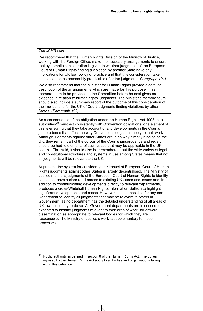#### *The JCHR said:*

We recommend that the Human Rights Division of the Ministry of Justice, working with the Foreign Office, make the necessary arrangements to ensure that systematic consideration is given to whether judgments of the European Court of Human Rights finding a violation by another State have any implications for UK law, policy or practice and that this consideration take place as soon as reasonably practicable after the judgment. *(Paragraph 191)*

We also recommend that the Minister for Human Rights provide a detailed description of the arrangements which are made for this purpose in his memorandum to be provided to the Committee before he next gives oral evidence in relation to human rights judgments. The Minister's memorandum should also include a summary report of the outcome of this consideration of the implications for the UK of Court judgments finding violations by other States. *(Paragraph 192)* 

As a consequence of the obligation under the Human Rights Act 1998, public authorities<sup>[38](#page-37-0)</sup> must act consistently with Convention obligations; one element of this is ensuring that they take account of any developments in the Court's jurisprudence that affect the way Convention obligations apply to their work. Although judgments against other States are in no way directly binding on the UK, they remain part of the corpus of the Court's jurisprudence and regard should be had to elements of such cases that may be applicable in the UK context. That said, it should also be remembered that the wide variety of legal and constitutional structures and systems in use among States means that not all judgments will be relevant to the UK.

At present, the system for considering the impact of European Court of Human Rights judgments against other States is largely decentralised. The Ministry of Justice monitors judgments of the European Court of Human Rights to identify cases that have a clear read-across to existing UK cases and issues and, in addition to communicating developments directly to relevant departments, produces a cross-Whitehall Human Rights Information Bulletin to highlight significant developments and cases. However, it is not possible for any one Department to identify all judgments that may be relevant to others in Government, as no department has the detailed understanding of all areas of UK law necessary to do so. All Government departments are in consequence expected to identify judgments relevant to their area of work, for onward dissemination as appropriate to relevant bodies for which they are responsible. The Ministry of Justice's work is supplementary to these processes.

<span id="page-37-0"></span> $38$  'Public authority' is defined in section 6 of the Human Rights Act. The duties imposed by the Human Rights Act apply to all bodies and organisations falling within this definition.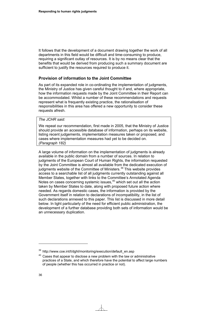It follows that the development of a document drawing together the work of all departments in this field would be difficult and time-consuming to produce, requiring a significant outlay of resources. It is by no means clear that the benefits that would be derived from producing such a summary document are sufficient to justify the resources required to produce it.

## **Provision of information to the Joint Committee**

As part of its expanded role in co-ordinating the implementation of judgments, the Ministry of Justice has given careful thought to if and, where appropriate, how the information requests made by the Joint Committee in their Report can be accommodated. Whilst a number of these recommendations and requests represent what is frequently existing practice, the rationalisation of responsibilities in this area has offered a new opportunity to consider these requests afresh.

#### *The JCHR said:*

We repeat our recommendation, first made in 2005, that the Ministry of Justice should provide an accessible database of information, perhaps on its website, listing recent judgements, implementation measures taken or proposed, and cases where implementation measures had yet to be decided on. *(Paragraph 182)*

A large volume of information on the implementation of judgments is already available in the public domain from a number of sources. In relation to judgments of the European Court of Human Rights, the information requested by the Joint Committee is almost all available from the dedicated execution of judgments website of the Committee of Ministers.<sup>39</sup> This website provides access to a searchable list of all judgments currently outstanding against all Member States, together with links to the Committee's Annotated Agenda Notes on cases concerning systemic issues,  $40$  which set out all the action taken by Member States to date, along with proposed future action where needed. As regards domestic cases, the information is provided by the Government itself in relation to declarations of incompatibility, in the list of such declarations annexed to this paper. This list is discussed in more detail below. In light particularly of the need for efficient public administration, the development of a further database providing both sets of information would be an unnecessary duplication.

<span id="page-38-0"></span><sup>&</sup>lt;sup>39</sup> http://www.coe.int/t/dghl/monitoring/execution/default\_en.asp

<span id="page-38-1"></span> $40$  Cases that appear to disclose a new problem with the law or administrative practices of a State, and which therefore have the potential to affect large numbers of people (whether this has occurred in practice or not).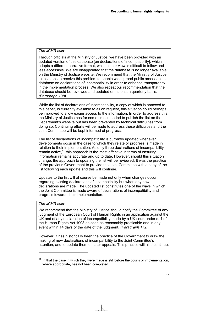#### *The JCHR said:*

Through officials at the Ministry of Justice, we have been provided with an updated version of this database [on declarations of incompatibility], which adopts a different narrative format, which in our view is difficult to follow and less accessible. We are disappointed that the database is no longer available on the Ministry of Justice website. We recommend that the Ministry of Justice takes steps to resolve this problem to enable widespread public access to its database on declarations of incompatibility in order to enhance transparency in the implementation process. We also repeat our recommendation that the database should be reviewed and updated on at least a quarterly basis. *(Paragraph 138)*

While the list of declarations of incompatibility, a copy of which is annexed to this paper, is currently available to all on request, this situation could perhaps be improved to allow easier access to the information. In order to address this, the Ministry of Justice has for some time intended to publish the list on the Department's website but has been prevented by technical difficulties from doing so. Continuing efforts will be made to address these difficulties and the Joint Committee will be kept informed of progress.

The list of declarations of incompatibility is currently updated whenever developments occur in the case to which they relate or progress is made in relation to their implementation. As only three declarations of incompatibility remain active,<sup>[41](#page-39-0)</sup> this approach is the most effective in terms of ensuring information remains accurate and up to date. However, should this situation change, the approach to updating the list will be reviewed. It was the practice of the previous Government to provide the Joint Committee with a copy of the list following each update and this will continue.

Updates to the list will of course be made not only when changes occur regarding existing declarations of incompatibility but when any new declarations are made. The updated list constitutes one of the ways in which the Joint Committee is made aware of declarations of incompatibility and progress towards their implementation.

## *The JCHR said:*

We recommend that the Ministry of Justice should notify the Committee of any judgment of the European Court of Human Rights in an application against the UK and of any declaration of incompatibility made by a UK court under s. 4 of the Human Rights Act 1998 as soon as reasonably practicable and in any event within 14 days of the date of the judgment. *(Paragraph 172)*

However, it has historically been the practice of the Government to draw the making of new declarations of incompatibility to the Joint Committee's attention, and to update them on later appeals. This practice will also continue,

<span id="page-39-0"></span>In that the case in which they were made is still before the courts or implementation, where appropriate, has not been completed.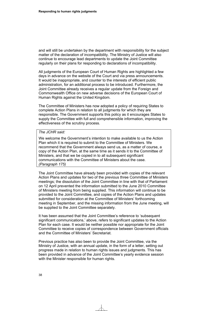and will still be undertaken by the department with responsibility for the subject matter of the declaration of incompatibility. The Ministry of Justice will also continue to encourage lead departments to update the Joint Committee regularly on their plans for responding to declarations of incompatibility.

All judgments of the European Court of Human Rights are highlighted a few days in advance on the website of the Court and via press announcements. It would be inappropriate, and counter to the interests of efficient public administration, for an additional process to be introduced. Furthermore, the Joint Committee already receives a regular update from the Foreign and Commonwealth Office on new adverse decisions of the European Court of Human Rights against the United Kingdom.

The Committee of Ministers has now adopted a policy of requiring States to complete Action Plans in relation to all judgments for which they are responsible. The Government supports this policy as it encourages States to supply the Committee with full and comprehensible information, improving the effectiveness of the scrutiny process.

## *The JCHR said:*

We welcome the Government's intention to make available to us the Action Plan which it is required to submit to the Committee of Ministers. We recommend that the Government always send us, as a matter of course, a copy of the Action Plan, at the same time as it sends it to the Committee of Ministers, and that we be copied in to all subsequent significant communications with the Committee of Ministers about the case. *(Paragraph 175)*

The Joint Committee have already been provided with copies of the relevant Action Plans and updates for two of the previous three Committee of Ministers meetings; the dissolution of the Joint Committee in line with that of Parliament on 12 April prevented the information submitted to the June 2010 Committee of Ministers meeting from being supplied. This information will continue to be provided to the Joint Committee, and copies of the Action Plans and updates submitted for consideration at the Committee of Ministers' forthcoming meeting in September, and the missing information from the June meeting, will be supplied to the Joint Committee separately.

It has been assumed that the Joint Committee's reference to 'subsequent significant communications,' above, refers to significant updates to the Action Plan for each case. It would be neither possible nor appropriate for the Joint Committee to receive copies of correspondence between Government officials and the Committee of Ministers' Secretariat.

Previous practice has also been to provide the Joint Committee, via the Ministry of Justice, with an annual update, in the form of a letter, setting out progress made in relation to human rights issues and judgments. This has been provided in advance of the Joint Committee's yearly evidence session with the Minister responsible for human rights.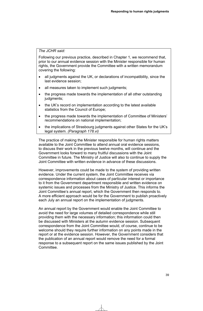#### *The JCHR said:*

Following our previous practice, described in Chapter 1, we recommend that, prior to our annual evidence session with the Minister responsible for human rights, the Government provide the Committee with a written memorandum covering the following:

- all judgments against the UK, or declarations of incompatibility, since the last evidence session;
- all measures taken to implement such judgments;
- the progress made towards the implementation of all other outstanding judgments;
- the UK's record on implementation according to the latest available statistics from the Council of Europe;
- the progress made towards the implementation of Committee of Ministers' recommendations on national implementation;
- the implications of Strasbourg judgments against other States for the UK's legal system. *(Paragraph 178.vi)*

The practice of making the Minister responsible for human rights matters available to the Joint Committee to attend annual oral evidence sessions, to discuss their work in the previous twelve months, will continue and the Government looks forward to many fruitful discussions with the Joint Committee in future. The Ministry of Justice will also to continue to supply the Joint Committee with written evidence in advance of these discussions.

However, improvements could be made to the system of providing written evidence. Under the current system, the Joint Committee receives via correspondence information about cases of particular interest or importance to it from the Government department responsible and written evidence on systemic issues and processes from the Ministry of Justice. This informs the Joint Committee's annual report, which the Government then responds to. A more efficient approach would be for the Government to publish proactively each July an annual report on the implementation of judgments.

An annual report by the Government would enable the Joint Committee to avoid the need for large volumes of detailed correspondence while still providing them with the necessary information; this information could then be discussed with Ministers at the autumn evidence session. Subsequent correspondence from the Joint Committee would, of course, continue to be welcome should they require further information on any points made in the report or at the evidence session. However, the Government considers that the publication of an annual report would remove the need for a formal response to a subsequent report on the same issues published by the Joint Committee.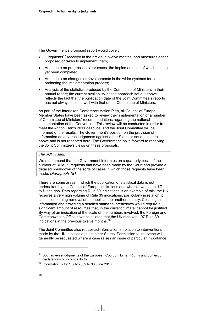The Government's proposed report would cover:

- Judgments<sup>42</sup> received in the previous twelve months, and measures either proposed or taken to implement them;
- An update on progress in older cases, the implementation of which has not yet been completed;
- An update on changes or developments in the wider systems for coordinating the implementation process;
- Analysis of the statistics produced by the Committee of Ministers in their annual report; the current availability-based approach set out above reflects the fact that the publication date of the Joint Committee's reports has not always chimed well with that of the Committee of Ministers.

As part of the Interlaken Conference Action Plan, all Council of Europe Member States have been asked to review their implementation of a number of Committee of Ministers' recommendations regarding the national implementation of the Convention. This review will be conducted in order to meet the Action Plan's 2011 deadline, and the Joint Committee will be informed of the results. The Government's position on the provision of information on adverse judgments against other States is set out in detail above and is not repeated here. The Government looks forward to receiving the Joint Committee's views on these proposals.

#### *The JCHR said:*

We recommend that the Government inform us on a quarterly basis of the number of Rule 39 requests that have been made by the Court and provide a detailed breakdown of the sorts of cases in which those requests have been made. *(Paragraph 181)*

There are some areas in which the publication of statistical data is not undertaken by the Council of Europe institutions and where it would be difficult to fill the gap. Data regarding Rule 39 indications is an example of this; the UK receives a very high volume of Rule 39 indications, particularly in relation to cases concerning removal of the applicant to another country. Collating this information and providing a detailed statistical breakdown would require a significant amount of resources that, in the current climate, cannot be justified. By way of an indication of the scale of the numbers involved, the Foreign and Commonwealth Office have calculated that the UK received 197 Rule 39 indications in the previous twelve months. $43$ 

The Joint Committee also requested information in relation to interventions made by the UK in cases against other States. Permission to intervene will generally be requested where a case raises an issue of particular importance

<span id="page-42-0"></span><sup>&</sup>lt;sup>42</sup> Both adverse judgments of the European Court of Human Rights and domestic declarations of incompatibility.

<span id="page-42-1"></span><sup>&</sup>lt;sup>43</sup> Information is for 1 July 2009 to 30 June 2010.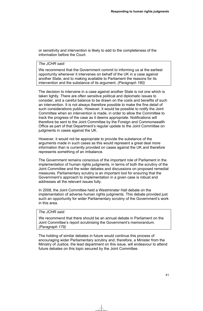or sensitivity and intervention is likely to add to the completeness of the information before the Court.

*The JCHR said:* 

We recommend that the Government commit to informing us at the earliest opportunity whenever it intervenes on behalf of the UK in a case against another State, and to making available to Parliament the reasons for its intervention and the substance of its argument. *(Paragraph 180)*

The decision to intervene in a case against another State is not one which is taken lightly. There are often sensitive political and diplomatic issues to consider, and a careful balance to be drawn on the costs and benefits of such an intervention. It is not always therefore possible to make the fine detail of such considerations public. However, it would be possible to notify the Joint Committee when an intervention is made, in order to allow the Committee to track the progress of the case as it deems appropriate. Notifications will therefore be sent to the Joint Committee by the Foreign and Commonwealth Office as part of that Department's regular update to the Joint Committee on judgments in cases against the UK.

However, it would not be appropriate to provide the substance of the arguments made in such cases as this would represent a great deal more information than is currently provided on cases against the UK and therefore represents something of an imbalance.

The Government remains conscious of the important role of Parliament in the implementation of human rights judgments, in terms of both the scrutiny of the Joint Committee and the wider debates and discussions on proposed remedial measures. Parliamentary scrutiny is an important tool for ensuring that the Government's approach to implementation in a given case is robust and addresses all the relevant issues fully.

In 2008, the Joint Committee held a Westminster Hall debate on the implementation of adverse human rights judgments. This debate provided just such an opportunity for wider Parliamentary scrutiny of the Government's work in this area.

*The JCHR said:* 

We recommend that there should be an annual debate in Parliament on the Joint Committee's report scrutinising the Government's memorandum. *(Paragraph 179)*

The holding of similar debates in future would continue this process of encouraging wider Parliamentary scrutiny and, therefore, a Minister from the Ministry of Justice, the lead department on this issue, will endeavour to attend future debates on this topic secured by the Joint Committee.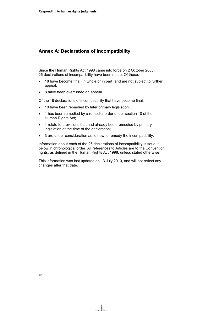## **Annex A: Declarations of incompatibility**

Since the Human Rights Act 1998 came into force on 2 October 2000, 26 declarations of incompatibility have been made. Of these:

- 18 have become final (in whole or in part) and are not subject to further appeal;
- 8 have been overturned on appeal.

Of the 18 declarations of incompatibility that have become final:

- 10 have been remedied by later primary legislation
- 1 has been remedied by a remedial order under section 10 of the Human Rights Act;
- 4 relate to provisions that had already been remedied by primary legislation at the time of the declaration;
- 3 are under consideration as to how to remedy the incompatibility.

Information about each of the 26 declarations of incompatibility is set out below in chronological order. All references to Articles are to the Convention rights, as defined in the Human Rights Act 1998, unless stated otherwise.

This information was last updated on 13 July 2010, and will not reflect any changes after that date.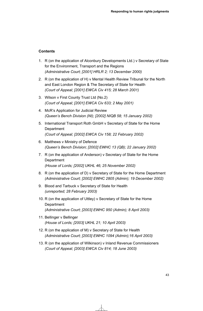#### **Contents**

- 1. R (on the application of Alconbury Developments Ltd.) v Secretary of State for the Environment, Transport and the Regions *(Administrative Court; [2001] HRLR 2; 13 December 2000)*
- 2. R (on the application of H) v Mental Health Review Tribunal for the North and East London Region & The Secretary of State for Health *(Court of Appeal; [2001] EWCA Civ 415; 28 March 2001)*
- 3. Wilson v First County Trust Ltd (No.2) *(Court of Appeal; [2001] EWCA Civ 633; 2 May 2001)*
- 4. McR's Application for Judicial Review *(Queen's Bench Division (NI); [2002] NIQB 58; 15 January 2002)*
- 5. International Transport Roth GmbH v Secretary of State for the Home **Department** *(Court of Appeal; [2002] EWCA Civ 158; 22 February 2002)*
- 6. Matthews v Ministry of Defence *(Queen's Bench Division; [2002] EWHC 13 (QB); 22 January 2002)*
- 7. R (on the application of Anderson) v Secretary of State for the Home **Department** *(House of Lords; [2002] UKHL 46; 25 November 2002)*
- 8. R (on the application of D) v Secretary of State for the Home Department *(Administrative Court; [2002] EWHC 2805 (Admin); 19 December 2002)*
- 9. Blood and Tarbuck v Secretary of State for Health *(unreported; 28 February 2003)*
- 10. R (on the application of Uttley) v Secretary of State for the Home **Department** *(Administrative Court; [2003] EWHC 950 (Admin); 8 April 2003)*
- 11. Bellinger v Bellinger *(House of Lords; [2003] UKHL 21; 10 April 2003)*
- 12. R (on the application of M) v Secretary of State for Health *(Administrative Court; [2003] EWHC 1094 (Admin);16 April 2003)*
- 13. R (on the application of Wilkinson) v Inland Revenue Commissioners *(Court of Appeal; [2003] EWCA Civ 814; 18 June 2003)*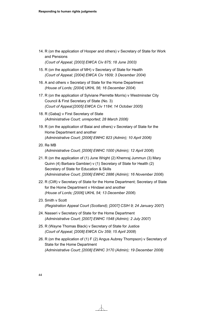- 14. R (on the application of Hooper and others) v Secretary of State for Work and Pensions *(Court of Appeal; [2003] EWCA Civ 875; 18 June 2003)*
- 15. R (on the application of MH) v Secretary of State for Health *(Court of Appeal; [2004] EWCA Civ 1609; 3 December 2004)*
- 16. A and others v Secretary of State for the Home Department *(House of Lords; [2004] UKHL 56; 16 December 2004*)
- 17. R (on the application of Sylviane Pierrette Morris) v Westminster City Council & First Secretary of State (No. 3) *(Court of Appeal;[2005] EWCA Civ 1184; 14 October 2005)*
- 18. R (Gabaj) v First Secretary of State *(Administrative Court; unreported; 28 March 2006)*
- 19. R (on the application of Baiai and others) v Secretary of State for the Home Department and another *(Administrative Court; [2006] EWHC 823 (Admin); 10 April 2006)*
- 20. Re MB *(Administrative Court; [2006] EWHC 1000 (Admin); 12 April 2006*)
- 21. R (on the application of (1) June Wright (2) Khemraj Jummun (3) Mary Quinn (4) Barbara Gambier) v (1) Secretary of State for Health (2) Secretary of State for Education & Skills *(Administrative Court; [2006] EWHC 2886 (Admin); 16 November 2006*)
- 22. R (Clift) v Secretary of State for the Home Department; Secretary of State for the Home Department v Hindawi and another *(House of Lords; [2006] UKHL 54; 13 December 2006*)
- 23. Smith v Scott *(Registration Appeal Court (Scotland); [2007] CSIH 9; 24 January 2007*)
- 24. Nasseri v Secretary of State for the Home Department *(Administrative Court; [2007] EWHC 1548 (Admin); 2 July 2007)*
- 25. R (Wayne Thomas Black) v Secretary of State for Justice *(Court of Appeal; [2008] EWCA Civ 359; 15 April 2008*)
- 26. R (on the application of (1) F (2) Angus Aubrey Thompson) v Secretary of State for the Home Department *(Administrative Court; [2008] EWHC 3170 (Admin); 19 December 2008)*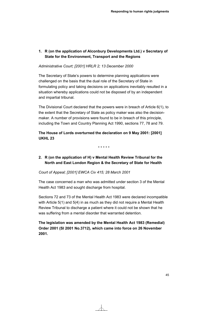## **1. R (on the application of Alconbury Developments Ltd.) v Secretary of State for the Environment, Transport and the Regions**

#### *Administrative Court; [2001] HRLR 2; 13 December 2000*

The Secretary of State's powers to determine planning applications were challenged on the basis that the dual role of the Secretary of State in formulating policy and taking decisions on applications inevitably resulted in a situation whereby applications could not be disposed of by an independent and impartial tribunal.

The Divisional Court declared that the powers were in breach of Article 6(1), to the extent that the Secretary of State as policy maker was also the decisionmaker. A number of provisions were found to be in breach of this principle, including the Town and Country Planning Act 1990, sections 77, 78 and 79.

## **The House of Lords overturned the declaration on 9 May 2001: [2001] UKHL 23**

\* \* \* \* \*

**2. R (on the application of H) v Mental Health Review Tribunal for the North and East London Region & the Secretary of State for Health** 

*Court of Appeal; [2001] EWCA Civ 415; 28 March 2001*

The case concerned a man who was admitted under section 3 of the Mental Health Act 1983 and sought discharge from hospital.

Sections 72 and 73 of the Mental Health Act 1983 were declared incompatible with Article 5(1) and 5(4) in as much as they did not require a Mental Health Review Tribunal to discharge a patient where it could not be shown that he was suffering from a mental disorder that warranted detention.

**The legislation was amended by the Mental Health Act 1983 (Remedial) Order 2001 (SI 2001 No.3712), which came into force on 26 November 2001.**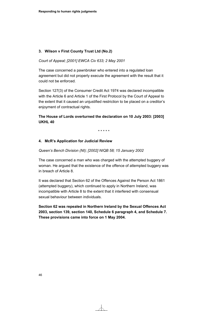## **3. Wilson v First County Trust Ltd (No.2)**

## *Court of Appeal; [2001] EWCA Civ 633; 2 May 2001*

The case concerned a pawnbroker who entered into a regulated loan agreement but did not properly execute the agreement with the result that it could not be enforced.

Section 127(3) of the Consumer Credit Act 1974 was declared incompatible with the Article 6 and Article 1 of the First Protocol by the Court of Appeal to the extent that it caused an unjustified restriction to be placed on a creditor's enjoyment of contractual rights.

## **The House of Lords overturned the declaration on 10 July 2003: [2003] UKHL 40**

\* \* \* \* \*

## **4. McR's Application for Judicial Review**

#### *Queen's Bench Division (NI); [2002] NIQB 58; 15 January 2002*

The case concerned a man who was charged with the attempted buggery of woman. He argued that the existence of the offence of attempted buggery was in breach of Article 8.

It was declared that Section 62 of the Offences Against the Person Act 1861 (attempted buggery), which continued to apply in Northern Ireland, was incompatible with Article 8 to the extent that it interfered with consensual sexual behaviour between individuals.

**Section 62 was repealed in Northern Ireland by the Sexual Offences Act 2003, section 139, section 140, Schedule 6 paragraph 4, and Schedule 7. These provisions came into force on 1 May 2004.**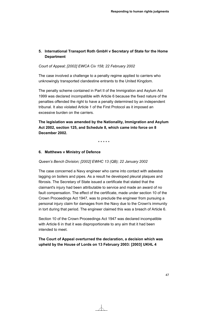## **5. International Transport Roth GmbH v Secretary of State for the Home Department**

## *Court of Appeal; [2002] EWCA Civ 158; 22 February 2002*

The case involved a challenge to a penalty regime applied to carriers who unknowingly transported clandestine entrants to the United Kingdom.

The penalty scheme contained in Part II of the Immigration and Asylum Act 1999 was declared incompatible with Article 6 because the fixed nature of the penalties offended the right to have a penalty determined by an independent tribunal. It also violated Article 1 of the First Protocol as it imposed an excessive burden on the carriers.

**The legislation was amended by the Nationality, Immigration and Asylum Act 2002, section 125, and Schedule 8, which came into force on 8 December 2002.** 

\* \* \* \* \*

#### **6. Matthews v Ministry of Defence**

*Queen's Bench Division; [2002] EWHC 13 (QB); 22 January 2002* 

The case concerned a Navy engineer who came into contact with asbestos lagging on boilers and pipes. As a result he developed pleural plaques and fibrosis. The Secretary of State issued a certificate that stated that the claimant's injury had been attributable to service and made an award of no fault compensation. The effect of the certificate, made under section 10 of the Crown Proceedings Act 1947, was to preclude the engineer from pursuing a personal injury claim for damages from the Navy due to the Crown's immunity in tort during that period. The engineer claimed this was a breach of Article 6.

Section 10 of the Crown Proceedings Act 1947 was declared incompatible with Article 6 in that it was disproportionate to any aim that it had been intended to meet.

**The Court of Appeal overturned the declaration, a decision which was upheld by the House of Lords on 13 February 2003: [2003] UKHL 4**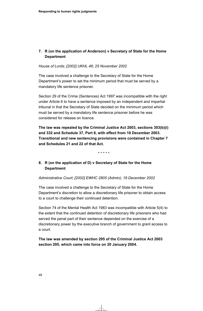## **7. R (on the application of Anderson) v Secretary of State for the Home Department**

## *House of Lords; [2002] UKHL 46; 25 November 2002*

The case involved a challenge to the Secretary of State for the Home Department's power to set the minimum period that must be served by a mandatory life sentence prisoner.

Section 29 of the Crime (Sentences) Act 1997 was incompatible with the right under Article 6 to have a sentence imposed by an independent and impartial tribunal in that the Secretary of State decided on the minimum period which must be served by a mandatory life sentence prisoner before he was considered for release on licence.

**The law was repealed by the Criminal Justice Act 2003, sections 303(b)(i) and 332 and Schedule 37, Part 8, with effect from 18 December 2003. Transitional and new sentencing provisions were contained in Chapter 7 and Schedules 21 and 22 of that Act.** 

\* \* \* \* \*

## **8. R (on the application of D) v Secretary of State for the Home Department**

*Administrative Court; [2002] EWHC 2805 (Admin); 19 December 2002* 

The case involved a challenge to the Secretary of State for the Home Department's discretion to allow a discretionary life prisoner to obtain access to a court to challenge their continued detention.

Section 74 of the Mental Health Act 1983 was incompatible with Article 5(4) to the extent that the continued detention of discretionary life prisoners who had served the penal part of their sentence depended on the exercise of a discretionary power by the executive branch of government to grant access to a court.

**The law was amended by section 295 of the Criminal Justice Act 2003 section 295, which came into force on 20 January 2004.**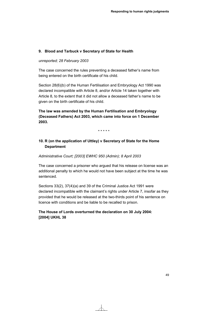## **9. Blood and Tarbuck v Secretary of State for Health**

#### *unreported; 28 February 2003*

The case concerned the rules preventing a deceased father's name from being entered on the birth certificate of his child.

Section 28(6)(b) of the Human Fertilisation and Embryology Act 1990 was declared incompatible with Article 8, and/or Article 14 taken together with Article 8, to the extent that it did not allow a deceased father's name to be given on the birth certificate of his child.

**The law was amended by the Human Fertilisation and Embryology (Deceased Fathers) Act 2003, which came into force on 1 December 2003.** 

\* \* \* \* \*

## **10. R (on the application of Uttley) v Secretary of State for the Home Department**

#### *Administrative Court; [2003] EWHC 950 (Admin); 8 April 2003*

The case concerned a prisoner who argued that his release on license was an additional penalty to which he would not have been subject at the time he was sentenced.

Sections 33(2), 37(4)(a) and 39 of the Criminal Justice Act 1991 were declared incompatible with the claimant's rights under Article 7, insofar as they provided that he would be released at the two-thirds point of his sentence on licence with conditions and be liable to be recalled to prison.

## **The House of Lords overturned the declaration on 30 July 2004: [2004] UKHL 38**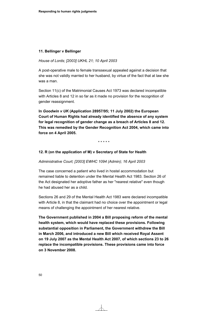## **11. Bellinger v Bellinger**

## *House of Lords; [2003] UKHL 21; 10 April 2003*

A post-operative male to female transsexual appealed against a decision that she was not validly married to her husband, by virtue of the fact that at law she was a man.

Section 11(c) of the Matrimonial Causes Act 1973 was declared incompatible with Articles 8 and 12 in so far as it made no provision for the recognition of gender reassignment.

**In** *Goodwin v UK* **(Application 28957/95; 11 July 2002) the European Court of Human Rights had already identified the absence of any system for legal recognition of gender change as a breach of Articles 8 and 12. This was remedied by the Gender Recognition Act 2004, which came into force on 4 April 2005.** 

\* \* \* \* \*

## **12. R (on the application of M) v Secretary of State for Health**

#### *Administrative Court; [2003] EWHC 1094 (Admin); 16 April 2003*

The case concerned a patient who lived in hostel accommodation but remained liable to detention under the Mental Health Act 1983. Section 26 of the Act designated her adoptive father as her "nearest relative" even though he had abused her as a child.

Sections 26 and 29 of the Mental Health Act 1983 were declared incompatible with Article 8, in that the claimant had no choice over the appointment or legal means of challenging the appointment of her nearest relative.

**The Government published in 2004 a Bill proposing reform of the mental health system, which would have replaced these provisions. Following substantial opposition in Parliament, the Government withdrew the Bill in March 2006, and introduced a new Bill which received Royal Assent on 19 July 2007 as the Mental Health Act 2007, of which sections 23 to 26 replace the incompatible provisions. These provisions came into force on 3 November 2008.**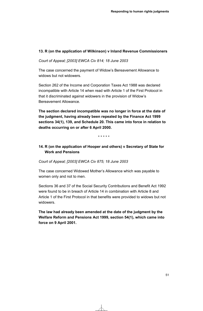## **13. R (on the application of Wilkinson) v Inland Revenue Commissioners**

*Court of Appeal; [2003] EWCA Civ 814; 18 June 2003* 

The case concerned the payment of Widow's Bereavement Allowance to widows but not widowers.

Section 262 of the Income and Corporation Taxes Act 1988 was declared incompatible with Article 14 when read with Article 1 of the First Protocol in that it discriminated against widowers in the provision of Widow's Bereavement Allowance.

**The section declared incompatible was no longer in force at the date of the judgment, having already been repealed by the Finance Act 1999 sections 34(1), 139, and Schedule 20. This came into force in relation to deaths occurring on or after 6 April 2000.**

\* \* \* \* \*

## **14. R (on the application of Hooper and others) v Secretary of State for Work and Pensions**

*Court of Appeal; [2003] EWCA Civ 875; 18 June 2003* 

The case concerned Widowed Mother's Allowance which was payable to women only and not to men.

Sections 36 and 37 of the Social Security Contributions and Benefit Act 1992 were found to be in breach of Article 14 in combination with Article 8 and Article 1 of the First Protocol in that benefits were provided to widows but not widowers.

**The law had already been amended at the date of the judgment by the Welfare Reform and Pensions Act 1999, section 54(1), which came into force on 9 April 2001.**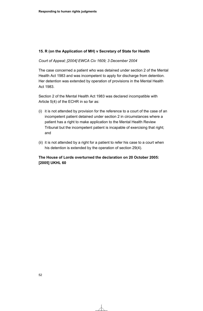## **15. R (on the Application of MH) v Secretary of State for Health**

## *Court of Appeal; [2004] EWCA Civ 1609; 3 December 2004*

The case concerned a patient who was detained under section 2 of the Mental Health Act 1983 and was incompetent to apply for discharge from detention. Her detention was extended by operation of provisions in the Mental Health Act 1983.

Section 2 of the Mental Health Act 1983 was declared incompatible with Article 5(4) of the ECHR in so far as:

- (i) it is not attended by provision for the reference to a court of the case of an incompetent patient detained under section 2 in circumstances where a patient has a right to make application to the Mental Health Review Tribunal but the incompetent patient is incapable of exercising that right; and
- (ii) it is not attended by a right for a patient to refer his case to a court when his detention is extended by the operation of section 29(4).

## **The House of Lords overturned the declaration on 20 October 2005: [2005] UKHL 60**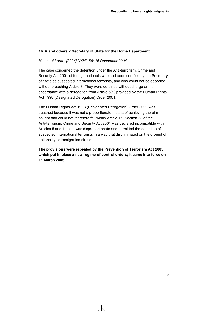#### **16. A and others v Secretary of State for the Home Department**

#### *House of Lords; [2004] UKHL 56; 16 December 2004*

The case concerned the detention under the Anti-terrorism, Crime and Security Act 2001 of foreign nationals who had been certified by the Secretary of State as suspected international terrorists, and who could not be deported without breaching Article 3. They were detained without charge or trial in accordance with a derogation from Article 5(1) provided by the Human Rights Act 1998 (Designated Derogation) Order 2001.

The Human Rights Act 1998 (Designated Derogation) Order 2001 was quashed because it was not a proportionate means of achieving the aim sought and could not therefore fall within Article 15. Section 23 of the Anti-terrorism, Crime and Security Act 2001 was declared incompatible with Articles 5 and 14 as it was disproportionate and permitted the detention of suspected international terrorists in a way that discriminated on the ground of nationality or immigration status.

**The provisions were repealed by the Prevention of Terrorism Act 2005, which put in place a new regime of control orders; it came into force on 11 March 2005.**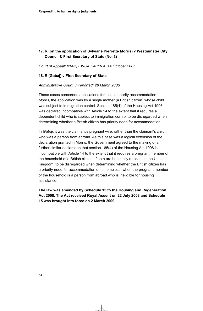## **17. R (on the application of Sylviane Pierrette Morris) v Westminster City Council & First Secretary of State (No. 3)**

*Court of Appeal; [2005] EWCA Civ 1184; 14 October 2005* 

## **18. R (Gabaj) v First Secretary of State**

## *Administrative Court; unreported; 28 March 2006*

These cases concerned applications for local authority accommodation. In *Morris*, the application was by a single mother (a British citizen) whose child was subject to immigration control. Section 185(4) of the Housing Act 1996 was declared incompatible with Article 14 to the extent that it requires a dependent child who is subject to immigration control to be disregarded when determining whether a British citizen has priority need for accommodation.

In *Gabaj*, it was the claimant's pregnant wife, rather than the claimant's child, who was a person from abroad. As this case was a logical extension of the declaration granted in Morris, the Government agreed to the making of a further similar declaration that section 185(4) of the Housing Act 1996 is incompatible with Article 14 to the extent that it requires a pregnant member of the household of a British citizen, if both are habitually resident in the United Kingdom, to be disregarded when determining whether the British citizen has a priority need for accommodation or is homeless, when the pregnant member of the household is a person from abroad who is ineligible for housing assistance.

**The law was amended by Schedule 15 to the Housing and Regeneration Act 2008. The Act received Royal Assent on 22 July 2008 and Schedule 15 was brought into force on 2 March 2009.**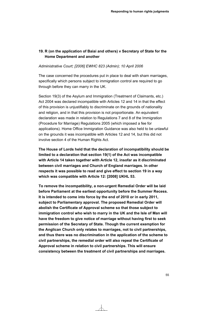## **19. R (on the application of Baiai and others) v Secretary of State for the Home Department and another**

#### *Administrative Court; [2006] EWHC 823 (Admin); 10 April 2006*

The case concerned the procedures put in place to deal with sham marriages, specifically which persons subject to immigration control are required to go through before they can marry in the UK.

Section 19(3) of the Asylum and Immigration (Treatment of Claimants, etc.) Act 2004 was declared incompatible with Articles 12 and 14 in that the effect of this provision is unjustifiably to discriminate on the grounds of nationality and religion, and in that this provision is not proportionate. An equivalent declaration was made in relation to Regulations 7 and 8 of the Immigration (Procedure for Marriage) Regulations 2005 (which imposed a fee for applications). Home Office Immigration Guidance was also held to be unlawful on the grounds it was incompatible with Articles 12 and 14, but this did not involve section 4 of the Human Rights Act.

**The House of Lords held that the declaration of incompatibility should be limited to a declaration that section 19(1) of the Act was incompatible with Article 14 taken together with Article 12, insofar as it discriminated between civil marriages and Church of England marriages. In other respects it was possible to read and give effect to section 19 in a way which was compatible with Article 12: [2008] UKHL 53.** 

**To remove the incompatibility, a non-urgent Remedial Order will be laid before Parliament at the earliest opportunity before the Summer Recess. It is intended to come into force by the end of 2010 or in early 2011, subject to Parliamentary approval. The proposed Remedial Order will abolish the Certificate of Approval scheme so that those subject to immigration control who wish to marry in the UK and the Isle of Man will have the freedom to give notice of marriage without having first to seek permission of the Secretary of State. Though the current exemption for the Anglican Church only relates to marriages, not to civil partnerships, and thus there was no discrimination in the application of the scheme to civil partnerships, the remedial order will also repeal the Certificate of Approval scheme in relation to civil partnerships. This will ensure consistency between the treatment of civil partnerships and marriages.**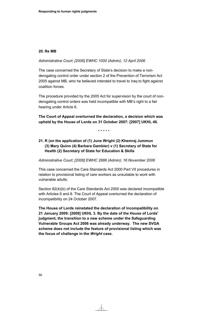## **20. Re MB**

## *Administrative Court; [2006] EWHC 1000 (Admin); 12 April 2006*

The case concerned the Secretary of State's decision to make a nonderogating control order under section 2 of the Prevention of Terrorism Act 2005 against MB, who he believed intended to travel to Iraq to fight against coalition forces.

The procedure provided by the 2005 Act for supervision by the court of nonderogating control orders was held incompatible with MB's right to a fair hearing under Article 6.

**The Court of Appeal overturned the declaration, a decision which was upheld by the House of Lords on 31 October 2007: [2007] UKHL 46.**

\* \* \* \* \*

## **21. R (on the application of (1) June Wright (2) Khemraj Jummun (3) Mary Quinn (4) Barbara Gambier) v (1) Secretary of State for Health (2) Secretary of State for Education & Skills**

*Administrative Court; [2006] EWHC 2886 (Admin); 16 November 2006* 

This case concerned the Care Standards Act 2000 Part VII procedures in relation to provisional listing of care workers as unsuitable to work with vulnerable adults.

Section 82(4)(b) of the Care Standards Act 2000 was declared incompatible with Articles 6 and 8. The Court of Appeal overturned the declaration of incompatibility on 24 October 2007.

**The House of Lords reinstated the declaration of incompatibility on 21 January 2009: [2009] UKHL 3. By the date of the House of Lords' judgment, the transition to a new scheme under the Safeguarding Vulnerable Groups Act 2006 was already underway. The new SVGA scheme does not include the feature of provisional listing which was the focus of challenge in the** *Wright* **case.**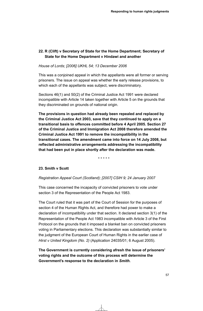## **22. R (Clift) v Secretary of State for the Home Department; Secretary of State for the Home Department v Hindawi and another**

#### *House of Lords; [2006] UKHL 54; 13 December 2006*

This was a conjoined appeal in which the appellants were all former or serving prisoners. The issue on appeal was whether the early release provisions, to which each of the appellants was subject, were discriminatory.

Sections 46(1) and 50(2) of the Criminal Justice Act 1991 were declared incompatible with Article 14 taken together with Article 5 on the grounds that they discriminated on grounds of national origin.

**The provisions in question had already been repealed and replaced by the Criminal Justice Act 2003, save that they continued to apply on a transitional basis to offences committed before 4 April 2005. Section 27 of the Criminal Justice and Immigration Act 2008 therefore amended the Criminal Justice Act 1991 to remove the incompatibility in the transitional cases. The amendment came into force on 14 July 2008, but reflected administrative arrangements addressing the incompatibility that had been put in place shortly after the declaration was made.** 

\* \* \* \* \*

#### **23. Smith v Scott**

#### *Registration Appeal Court (Scotland); [2007] CSIH 9; 24 January 2007*

This case concerned the incapacity of convicted prisoners to vote under section 3 of the Representation of the People Act 1983.

The Court ruled that it was part of the Court of Session for the purposes of section 4 of the Human Rights Act, and therefore had power to make a declaration of incompatibility under that section. It declared section 3(1) of the Representation of the People Act 1983 incompatible with Article 3 of the First Protocol on the grounds that it imposed a blanket ban on convicted prisoners voting in Parliamentary elections. This declaration was substantially similar to the judgment of the European Court of Human Rights in the earlier case of *Hirst v United Kingdom (No. 2)* (Application 24035/01; 6 August 2005).

**The Government is currently considering afresh the issue of prisoners' voting rights and the outcome of this process will determine the Government's response to the declaration in** *Smith***.**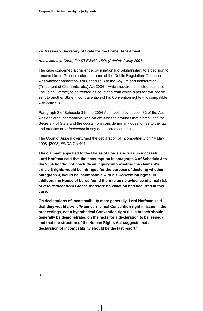## **24. Nasseri v Secretary of State for the Home Department**

*Administrative Court; [2007] EWHC 1548 (Admin); 2 July 2007* 

The case concerned a challenge, by a national of Afghanistan, to a decision to remove him to Greece under the terms of the Dublin Regulation. The issue was whether paragraph 3 of Schedule 3 to the Asylum and Immigration (Treatment of Claimants, etc.) Act 2004 – which requires the listed countries (including Greece) to be treated as countries from which a person will not be sent to another State in contravention of his Convention rights – is compatible with Article 3

Paragraph 3 of Schedule 3 to the 2004 Act, applied by section 33 of the Act, was declared incompatible with Article 3 on the grounds that it precludes the Secretary of State and the courts from considering any question as to the law and practice on *refoulement* in any of the listed countries.

The Court of Appeal overturned the declaration of incompatibility on 14 May 2008: [2008] EWCA Civ 464.

**The claimant appealed to the House of Lords and was unsuccessful. Lord Hoffman said that the presumption in paragraph 3 of Schedule 3 to the 2004 Act did not preclude an inquiry into whether the claimant's article 3 rights would be infringed for the purpose of deciding whether paragraph 3, would be incompatible with his Convention rights. In addition, the House of Lords found there to be no evidence of a real risk of** *refoulement* **from Greece therefore no violation had occurred in this case.** 

**On declarations of incompatibility more generally, Lord Hoffman said that they would** *normally* **concern a real Convention right in issue in the proceedings, not a hypothetical Convention right (i.e. a breach should generally be demonstrated on the facts for a declaration to be issued) and that the structure of the Human Rights Act suggests that a declaration of incompatibility should be the last resort.**"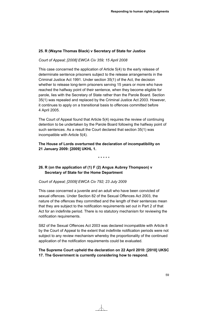## **25. R (Wayne Thomas Black) v Secretary of State for Justice**

#### *Court of Appeal; [2008] EWCA Civ 359; 15 April 2008*

This case concerned the application of Article 5(4) to the early release of determinate sentence prisoners subject to the release arrangements in the Criminal Justice Act 1991. Under section 35(1) of the Act, the decision whether to release long-term prisoners serving 15 years or more who have reached the halfway point of their sentence, when they become eligible for parole, lies with the Secretary of State rather than the Parole Board. Section 35(1) was repealed and replaced by the Criminal Justice Act 2003. However, it continues to apply on a transitional basis to offences committed before 4 April 2005.

The Court of Appeal found that Article 5(4) requires the review of continuing detention to be undertaken by the Parole Board following the halfway point of such sentences. As a result the Court declared that section 35(1) was incompatible with Article 5(4).

**The House of Lords overturned the declaration of incompatibility on 21 January 2009: [2009] UKHL 1.** 

\* \* \* \* \*

## **26. R (on the application of (1) F (2) Angus Aubrey Thompson) v Secretary of State for the Home Department**

*Court of Appeal; [2009] EWCA Civ 792; 23 July 2009* 

This case concerned a juvenile and an adult who have been convicted of sexual offences. Under Section 82 of the Sexual Offences Act 2003, the nature of the offences they committed and the length of their sentences mean that they are subject to the notification requirements set out in Part 2 of that Act for an indefinite period. There is no statutory mechanism for reviewing the notification requirements.

S82 of the Sexual Offences Act 2003 was declared incompatible with Article 8 by the Court of Appeal to the extent that indefinite notification periods were not subject to any review mechanism whereby the proportionality of the continued application of the notification requirements could be evaluated.

## **The Supreme Court upheld the declaration on 22 April 2010: [2010] UKSC 17. The Government is currently considering how to respond.**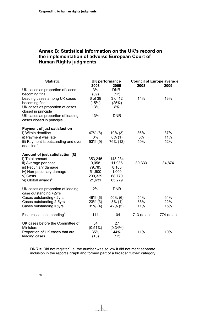## **Annex B: Statistical information on the UK's record on the implementation of adverse European Court of Human Rights judgments**

| <b>Statistic</b>                                               | <b>UK performance</b> |                  | <b>Council of Europe average</b> |             |
|----------------------------------------------------------------|-----------------------|------------------|----------------------------------|-------------|
|                                                                | 2008                  | 2009             | 2008                             | 2009        |
| UK cases as proportion of cases                                | 3%                    | DNR <sup>1</sup> |                                  |             |
| becoming final                                                 | (39)                  | (12)             |                                  |             |
| Leading cases among UK cases                                   | 6 of 39               | 3 of 12          | 14%                              | 13%         |
| becoming final<br>UK cases as proportion of cases              | (15%)<br>13%          | (25%)<br>8%      |                                  |             |
| closed in principle                                            |                       |                  |                                  |             |
| UK cases as proportion of leading<br>cases closed in principle | 13%                   | <b>DNR</b>       |                                  |             |
| <b>Payment of just satisfaction</b>                            |                       |                  |                                  |             |
| i) Within deadline                                             | 47% (8)               | $19\%$ (3)       | 36%                              | 37%         |
| ii) Payment was late                                           | 0%                    | $6\%$ (1)        | 5%                               | 11%         |
| iii) Payment is outstanding and over<br>deadline <sup>2</sup>  | 53% (9)               | 76% (12)         | 59%                              | 52%         |
| Amount of just satisfaction (€)                                |                       |                  |                                  |             |
| i) Total amount                                                | 353,245               | 143,234          |                                  |             |
| ii) Average per case                                           | 9,058                 | 11,936           | 39,333                           | 34,874      |
| iii) Pecuniary damage                                          | 79,785                | 8,185            |                                  |             |
| iv) Non-pecuniary damage                                       | 51,500                | 1,000            |                                  |             |
| v) Costs                                                       | 200,329               | 68,770           |                                  |             |
| vi) Global awards <sup>3</sup>                                 | 21,631                | 65,279           |                                  |             |
| UK cases as proportion of leading<br>case outstanding >2yrs    | 2%                    | <b>DNR</b>       |                                  |             |
| Cases outstanding <2yrs                                        | 46% (6)               | $50\%$ (6)       | 54%                              | 64%         |
| Cases outstanding 2-5yrs                                       | $23\%$ (3)            | $8\%$ (1)        | 35%                              | 22%         |
| Cases outstanding > 5yrs                                       | $31\%$ (4)            | 42% (5)          | 11%                              | 15%         |
| Final resolutions pending <sup>4</sup>                         | 111                   | 104              | 713 (total)                      | 774 (total) |
| UK cases before the Committee of                               | 34                    | 27               |                                  |             |
| <b>Ministers</b>                                               | $(0.51\%)$            | $(0.34\%)$       |                                  |             |
| Proportion of UK cases that are                                | 35%                   | 44%              | 11%                              | 10%         |
| leading cases                                                  | (13)                  | (12)             |                                  |             |

<sup>1</sup> DNR = 'Did not register' i.e. the number was so low it did not merit separate inclusion in the report's graph and formed part of a broader 'Other' category.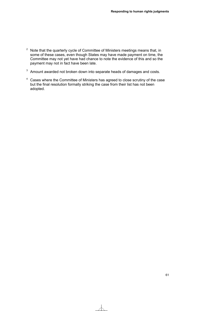$2$  Note that the quarterly cycle of Committee of Ministers meetings means that, in some of these cases, even though States may have made payment on time, the Committee may not yet have had chance to note the evidence of this and so the payment may not in fact have been late.

#### $3$  Amount awarded not broken down into separate heads of damages and costs.

4 Cases where the Committee of Ministers has agreed to close scrutiny of the case but the final resolution formally striking the case from their list has not been adopted.